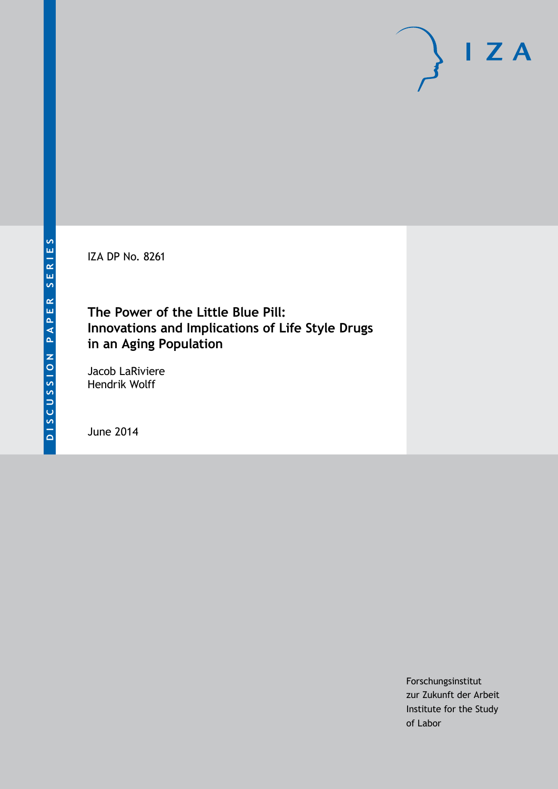IZA DP No. 8261

# **The Power of the Little Blue Pill: Innovations and Implications of Life Style Drugs in an Aging Population**

Jacob LaRiviere Hendrik Wolff

June 2014

Forschungsinstitut zur Zukunft der Arbeit Institute for the Study of Labor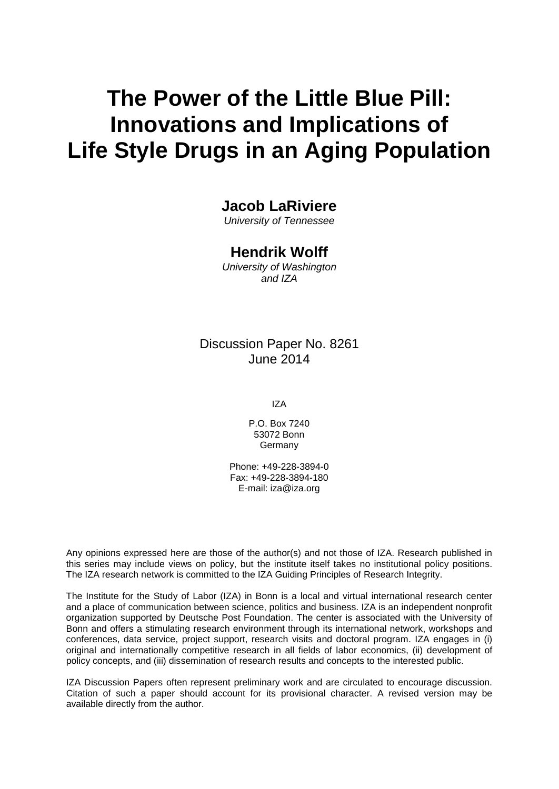# **The Power of the Little Blue Pill: Innovations and Implications of Life Style Drugs in an Aging Population**

## **Jacob LaRiviere**

*University of Tennessee*

### **Hendrik Wolff**

*University of Washington and IZA*

### Discussion Paper No. 8261 June 2014

IZA

P.O. Box 7240 53072 Bonn **Germany** 

Phone: +49-228-3894-0 Fax: +49-228-3894-180 E-mail: [iza@iza.org](mailto:iza@iza.org)

Any opinions expressed here are those of the author(s) and not those of IZA. Research published in this series may include views on policy, but the institute itself takes no institutional policy positions. The IZA research network is committed to the IZA Guiding Principles of Research Integrity.

The Institute for the Study of Labor (IZA) in Bonn is a local and virtual international research center and a place of communication between science, politics and business. IZA is an independent nonprofit organization supported by Deutsche Post Foundation. The center is associated with the University of Bonn and offers a stimulating research environment through its international network, workshops and conferences, data service, project support, research visits and doctoral program. IZA engages in (i) original and internationally competitive research in all fields of labor economics, (ii) development of policy concepts, and (iii) dissemination of research results and concepts to the interested public.

<span id="page-1-0"></span>IZA Discussion Papers often represent preliminary work and are circulated to encourage discussion. Citation of such a paper should account for its provisional character. A revised version may be available directly from the author.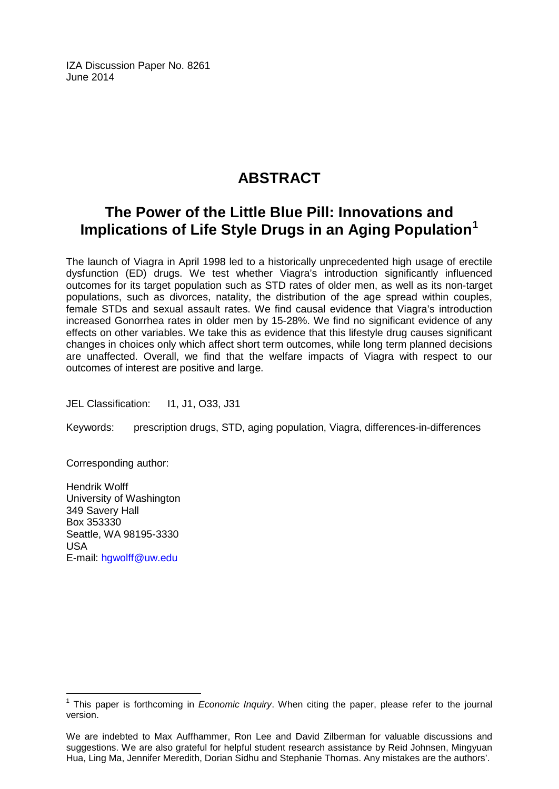IZA Discussion Paper No. 8261 June 2014

# **ABSTRACT**

# **The Power of the Little Blue Pill: Innovations and Implications of Life Style Drugs in an Aging Population[1](#page-1-0)**

The launch of Viagra in April 1998 led to a historically unprecedented high usage of erectile dysfunction (ED) drugs. We test whether Viagra's introduction significantly influenced outcomes for its target population such as STD rates of older men, as well as its non-target populations, such as divorces, natality, the distribution of the age spread within couples, female STDs and sexual assault rates. We find causal evidence that Viagra's introduction increased Gonorrhea rates in older men by 15-28%. We find no significant evidence of any effects on other variables. We take this as evidence that this lifestyle drug causes significant changes in choices only which affect short term outcomes, while long term planned decisions are unaffected. Overall, we find that the welfare impacts of Viagra with respect to our outcomes of interest are positive and large.

JEL Classification: 11, J1, O33, J31

Keywords: prescription drugs, STD, aging population, Viagra, differences-in-differences

Corresponding author:

Hendrik Wolff University of Washington 349 Savery Hall Box 353330 Seattle, WA 98195-3330 USA E-mail: [hgwolff@uw.edu](mailto:hgwolff@uw.edu)

<sup>1</sup> This paper is forthcoming in *Economic Inquiry*. When citing the paper, please refer to the journal version.

We are indebted to Max Auffhammer, Ron Lee and David Zilberman for valuable discussions and suggestions. We are also grateful for helpful student research assistance by Reid Johnsen, Mingyuan Hua, Ling Ma, Jennifer Meredith, Dorian Sidhu and Stephanie Thomas. Any mistakes are the authors'.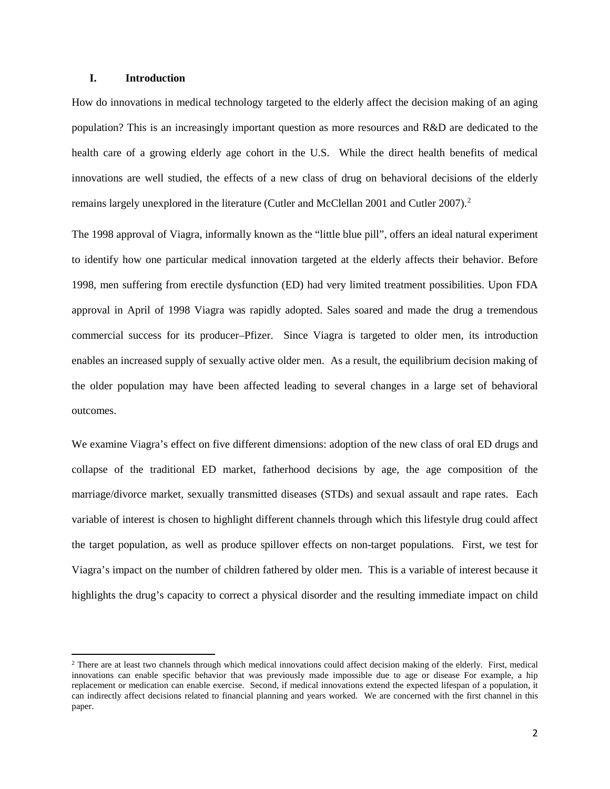#### **I. Introduction**

 $\overline{\phantom{a}}$ 

How do innovations in medical technology targeted to the elderly affect the decision making of an aging population? This is an increasingly important question as more resources and R&D are dedicated to the health care of a growing elderly age cohort in the U.S. While the direct health benefits of medical innovations are well studied, the effects of a new class of drug on behavioral decisions of the elderly remains largely unexplored in the literature (Cutler and McClellan [2](#page-3-0)001 and Cutler 2007).<sup>2</sup>

The 1998 approval of Viagra, informally known as the "little blue pill", offers an ideal natural experiment to identify how one particular medical innovation targeted at the elderly affects their behavior. Before 1998, men suffering from erectile dysfunction (ED) had very limited treatment possibilities. Upon FDA approval in April of 1998 Viagra was rapidly adopted. Sales soared and made the drug a tremendous commercial success for its producer–Pfizer. Since Viagra is targeted to older men, its introduction enables an increased supply of sexually active older men. As a result, the equilibrium decision making of the older population may have been affected leading to several changes in a large set of behavioral outcomes.

We examine Viagra's effect on five different dimensions: adoption of the new class of oral ED drugs and collapse of the traditional ED market, fatherhood decisions by age, the age composition of the marriage/divorce market, sexually transmitted diseases (STDs) and sexual assault and rape rates. Each variable of interest is chosen to highlight different channels through which this lifestyle drug could affect the target population, as well as produce spillover effects on non-target populations. First, we test for Viagra's impact on the number of children fathered by older men. This is a variable of interest because it highlights the drug's capacity to correct a physical disorder and the resulting immediate impact on child

<span id="page-3-0"></span><sup>&</sup>lt;sup>2</sup> There are at least two channels through which medical innovations could affect decision making of the elderly. First, medical innovations can enable specific behavior that was previously made impossible due to age or disease For example, a hip replacement or medication can enable exercise. Second, if medical innovations extend the expected lifespan of a population, it can indirectly affect decisions related to financial planning and years worked. We are concerned with the first channel in this paper.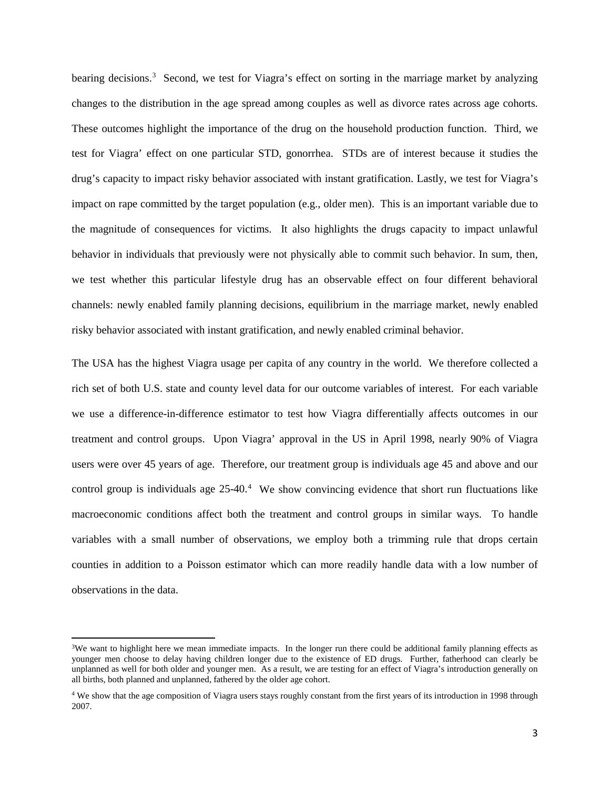bearing decisions.<sup>[3](#page-4-0)</sup> Second, we test for Viagra's effect on sorting in the marriage market by analyzing changes to the distribution in the age spread among couples as well as divorce rates across age cohorts. These outcomes highlight the importance of the drug on the household production function. Third, we test for Viagra' effect on one particular STD, gonorrhea. STDs are of interest because it studies the drug's capacity to impact risky behavior associated with instant gratification. Lastly, we test for Viagra's impact on rape committed by the target population (e.g., older men). This is an important variable due to the magnitude of consequences for victims. It also highlights the drugs capacity to impact unlawful behavior in individuals that previously were not physically able to commit such behavior. In sum, then, we test whether this particular lifestyle drug has an observable effect on four different behavioral channels: newly enabled family planning decisions, equilibrium in the marriage market, newly enabled risky behavior associated with instant gratification, and newly enabled criminal behavior.

The USA has the highest Viagra usage per capita of any country in the world. We therefore collected a rich set of both U.S. state and county level data for our outcome variables of interest. For each variable we use a difference-in-difference estimator to test how Viagra differentially affects outcomes in our treatment and control groups. Upon Viagra' approval in the US in April 1998, nearly 90% of Viagra users were over 45 years of age. Therefore, our treatment group is individuals age 45 and above and our control group is individuals age 25-40. [4](#page-4-1) We show convincing evidence that short run fluctuations like macroeconomic conditions affect both the treatment and control groups in similar ways. To handle variables with a small number of observations, we employ both a trimming rule that drops certain counties in addition to a Poisson estimator which can more readily handle data with a low number of observations in the data.

l

<span id="page-4-0"></span><sup>&</sup>lt;sup>3</sup>We want to highlight here we mean immediate impacts. In the longer run there could be additional family planning effects as younger men choose to delay having children longer due to the existence of ED drugs. Further, fatherhood can clearly be unplanned as well for both older and younger men. As a result, we are testing for an effect of Viagra's introduction generally on all births, both planned and unplanned, fathered by the older age cohort.

<span id="page-4-1"></span><sup>&</sup>lt;sup>4</sup> We show that the age composition of Viagra users stays roughly constant from the first years of its introduction in 1998 through 2007.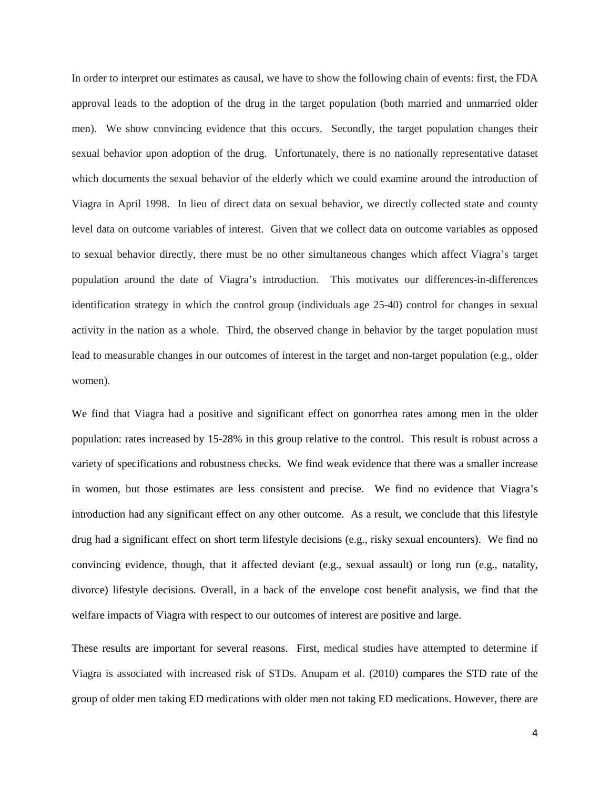In order to interpret our estimates as causal, we have to show the following chain of events: first, the FDA approval leads to the adoption of the drug in the target population (both married and unmarried older men). We show convincing evidence that this occurs. Secondly, the target population changes their sexual behavior upon adoption of the drug. Unfortunately, there is no nationally representative dataset which documents the sexual behavior of the elderly which we could examine around the introduction of Viagra in April 1998. In lieu of direct data on sexual behavior, we directly collected state and county level data on outcome variables of interest. Given that we collect data on outcome variables as opposed to sexual behavior directly, there must be no other simultaneous changes which affect Viagra's target population around the date of Viagra's introduction. This motivates our differences-in-differences identification strategy in which the control group (individuals age 25-40) control for changes in sexual activity in the nation as a whole. Third, the observed change in behavior by the target population must lead to measurable changes in our outcomes of interest in the target and non-target population (e.g., older women).

We find that Viagra had a positive and significant effect on gonorrhea rates among men in the older population: rates increased by 15-28% in this group relative to the control. This result is robust across a variety of specifications and robustness checks. We find weak evidence that there was a smaller increase in women, but those estimates are less consistent and precise. We find no evidence that Viagra's introduction had any significant effect on any other outcome. As a result, we conclude that this lifestyle drug had a significant effect on short term lifestyle decisions (e.g., risky sexual encounters). We find no convincing evidence, though, that it affected deviant (e.g., sexual assault) or long run (e.g., natality, divorce) lifestyle decisions. Overall, in a back of the envelope cost benefit analysis, we find that the welfare impacts of Viagra with respect to our outcomes of interest are positive and large.

These results are important for several reasons. First, medical studies have attempted to determine if Viagra is associated with increased risk of STDs. Anupam et al. (2010) compares the STD rate of the group of older men taking ED medications with older men not taking ED medications. However, there are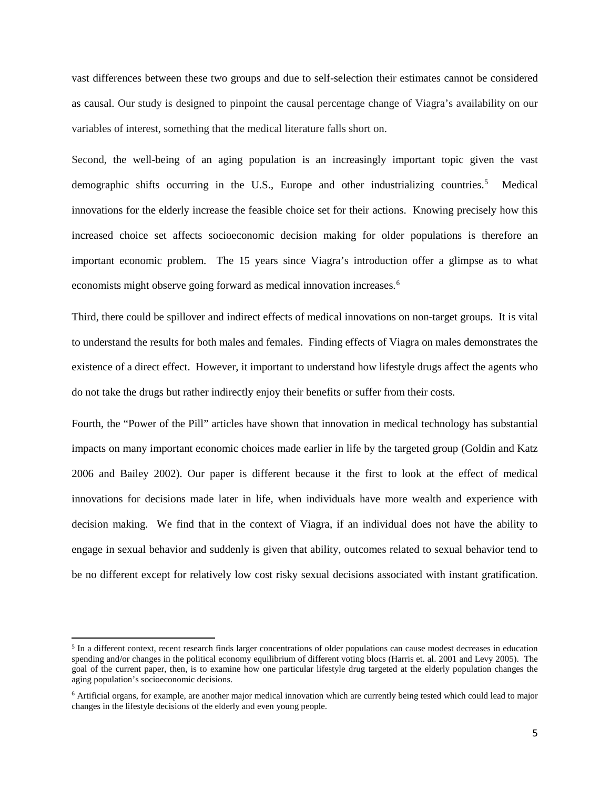vast differences between these two groups and due to self-selection their estimates cannot be considered as causal. Our study is designed to pinpoint the causal percentage change of Viagra's availability on our variables of interest, something that the medical literature falls short on.

Second, the well-being of an aging population is an increasingly important topic given the vast demographic shifts occurring in the U.S., Europe and other industrializing countries.<sup>[5](#page-6-0)</sup> Medical innovations for the elderly increase the feasible choice set for their actions. Knowing precisely how this increased choice set affects socioeconomic decision making for older populations is therefore an important economic problem. The 15 years since Viagra's introduction offer a glimpse as to what economists might observe going forward as medical innovation increases. [6](#page-6-1)

Third, there could be spillover and indirect effects of medical innovations on non-target groups. It is vital to understand the results for both males and females. Finding effects of Viagra on males demonstrates the existence of a direct effect. However, it important to understand how lifestyle drugs affect the agents who do not take the drugs but rather indirectly enjoy their benefits or suffer from their costs.

Fourth, the "Power of the Pill" articles have shown that innovation in medical technology has substantial impacts on many important economic choices made earlier in life by the targeted group (Goldin and Katz 2006 and Bailey 2002). Our paper is different because it the first to look at the effect of medical innovations for decisions made later in life, when individuals have more wealth and experience with decision making. We find that in the context of Viagra, if an individual does not have the ability to engage in sexual behavior and suddenly is given that ability, outcomes related to sexual behavior tend to be no different except for relatively low cost risky sexual decisions associated with instant gratification.

l

<span id="page-6-0"></span><sup>&</sup>lt;sup>5</sup> In a different context, recent research finds larger concentrations of older populations can cause modest decreases in education spending and/or changes in the political economy equilibrium of different voting blocs (Harris et. al. 2001 and Levy 2005). The goal of the current paper, then, is to examine how one particular lifestyle drug targeted at the elderly population changes the aging population's socioeconomic decisions.

<span id="page-6-1"></span><sup>6</sup> Artificial organs, for example, are another major medical innovation which are currently being tested which could lead to major changes in the lifestyle decisions of the elderly and even young people.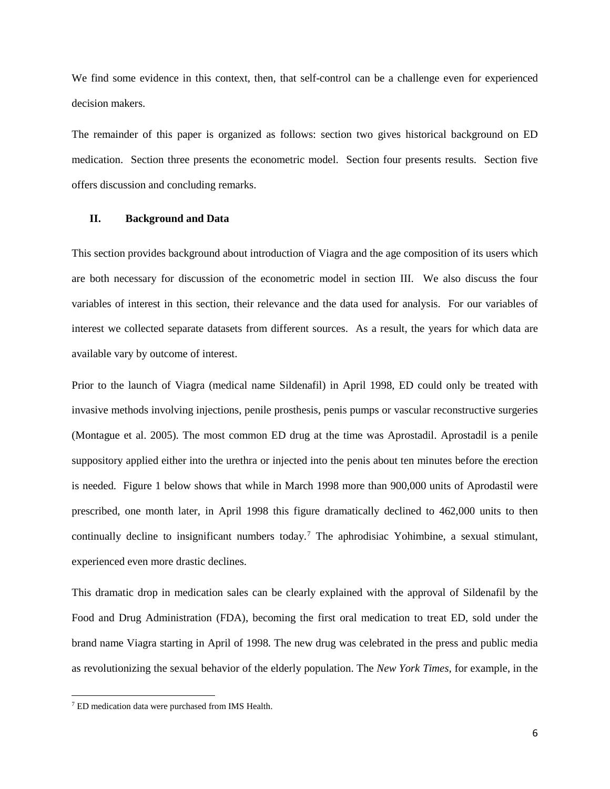We find some evidence in this context, then, that self-control can be a challenge even for experienced decision makers.

The remainder of this paper is organized as follows: section two gives historical background on ED medication. Section three presents the econometric model. Section four presents results. Section five offers discussion and concluding remarks.

#### **II. Background and Data**

This section provides background about introduction of Viagra and the age composition of its users which are both necessary for discussion of the econometric model in section III. We also discuss the four variables of interest in this section, their relevance and the data used for analysis. For our variables of interest we collected separate datasets from different sources. As a result, the years for which data are available vary by outcome of interest.

Prior to the launch of Viagra (medical name Sildenafil) in April 1998, ED could only be treated with invasive methods involving injections, penile prosthesis, penis pumps or vascular reconstructive surgeries (Montague et al. 2005). The most common ED drug at the time was Aprostadil. Aprostadil is a penile suppository applied either into the urethra or injected into the penis about ten minutes before the erection is needed. Figure 1 below shows that while in March 1998 more than 900,000 units of Aprodastil were prescribed, one month later, in April 1998 this figure dramatically declined to 462,000 units to then continually decline to insignificant numbers today.[7](#page-7-0) The aphrodisiac Yohimbine, a sexual stimulant, experienced even more drastic declines.

This dramatic drop in medication sales can be clearly explained with the approval of Sildenafil by the Food and Drug Administration (FDA), becoming the first oral medication to treat ED, sold under the brand name Viagra starting in April of 1998. The new drug was celebrated in the press and public media as revolutionizing the sexual behavior of the elderly population. The *New York Times*, for example, in the

l

<span id="page-7-0"></span><sup>7</sup> ED medication data were purchased from IMS Health.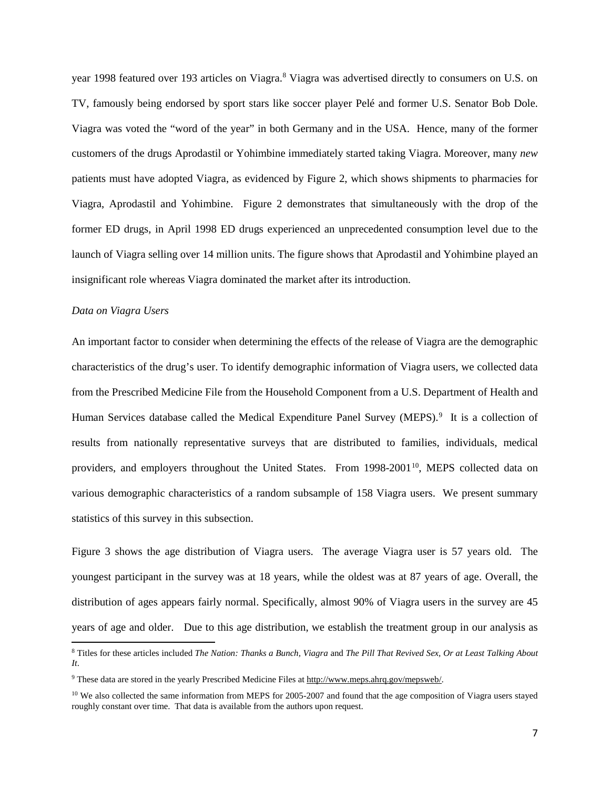year 199[8](#page-8-0) featured over 193 articles on Viagra.<sup>8</sup> Viagra was advertised directly to consumers on U.S. on TV, famously being endorsed by sport stars like soccer player Pelé and former U.S. Senator Bob Dole. Viagra was voted the "word of the year" in both Germany and in the USA. Hence, many of the former customers of the drugs Aprodastil or Yohimbine immediately started taking Viagra. Moreover, many *new* patients must have adopted Viagra, as evidenced by Figure 2, which shows shipments to pharmacies for Viagra, Aprodastil and Yohimbine. Figure 2 demonstrates that simultaneously with the drop of the former ED drugs, in April 1998 ED drugs experienced an unprecedented consumption level due to the launch of Viagra selling over 14 million units. The figure shows that Aprodastil and Yohimbine played an insignificant role whereas Viagra dominated the market after its introduction.

#### *Data on Viagra Users*

 $\overline{\phantom{a}}$ 

An important factor to consider when determining the effects of the release of Viagra are the demographic characteristics of the drug's user. To identify demographic information of Viagra users, we collected data from the Prescribed Medicine File from the Household Component from a U.S. Department of Health and Human Services database called the Medical Expenditure Panel Survey (MEPS).<sup>[9](#page-8-1)</sup> It is a collection of results from nationally representative surveys that are distributed to families, individuals, medical providers, and employers throughout the United States. From 1998-2001<sup>[10](#page-8-2)</sup>, MEPS collected data on various demographic characteristics of a random subsample of 158 Viagra users. We present summary statistics of this survey in this subsection.

Figure 3 shows the age distribution of Viagra users. The average Viagra user is 57 years old. The youngest participant in the survey was at 18 years, while the oldest was at 87 years of age. Overall, the distribution of ages appears fairly normal. Specifically, almost 90% of Viagra users in the survey are 45 years of age and older. Due to this age distribution, we establish the treatment group in our analysis as

<span id="page-8-0"></span><sup>8</sup> Titles for these articles included *The Nation: Thanks a Bunch, Viagra* and *The Pill That Revived Sex, Or at Least Talking About It*.

<span id="page-8-1"></span><sup>9</sup> These data are stored in the yearly Prescribed Medicine Files at [http://www.meps.ahrq.gov/mepsweb/.](http://www.meps.ahrq.gov/mepsweb/)

<span id="page-8-2"></span><sup>&</sup>lt;sup>10</sup> We also collected the same information from MEPS for 2005-2007 and found that the age composition of Viagra users stayed roughly constant over time. That data is available from the authors upon request.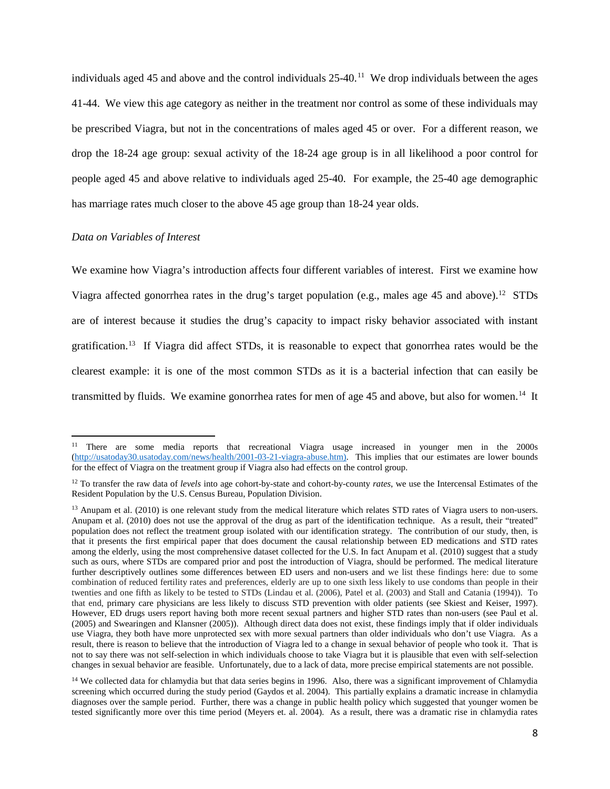individuals aged 45 and above and the control individuals  $25{\text -}40$ .<sup>[11](#page-9-0)</sup> We drop individuals between the ages 41-44. We view this age category as neither in the treatment nor control as some of these individuals may be prescribed Viagra, but not in the concentrations of males aged 45 or over. For a different reason, we drop the 18-24 age group: sexual activity of the 18-24 age group is in all likelihood a poor control for people aged 45 and above relative to individuals aged 25-40. For example, the 25-40 age demographic has marriage rates much closer to the above 45 age group than 18-24 year olds.

#### *Data on Variables of Interest*

 $\overline{\phantom{a}}$ 

We examine how Viagra's introduction affects four different variables of interest. First we examine how Viagra affected gonorrhea rates in the drug's target population (e.g., males age 45 and above).<sup>12</sup> STDs are of interest because it studies the drug's capacity to impact risky behavior associated with instant gratification.<sup>13</sup> If Viagra did affect STDs, it is reasonable to expect that gonorrhea rates would be the clearest example: it is one of the most common STDs as it is a bacterial infection that can easily be transmitted by fluids. We examine gonorrhea rates for men of age 45 and above, but also for women.<sup>[14](#page-9-3)</sup> It

<span id="page-9-0"></span><sup>&</sup>lt;sup>11</sup> There are some media reports that recreational Viagra usage increased in younger men in the 2000s [\(http://usatoday30.usatoday.com/news/health/2001-03-21-viagra-abuse.htm\)](http://usatoday30.usatoday.com/news/health/2001-03-21-viagra-abuse.htm). This implies that our estimates are lower bounds for the effect of Viagra on the treatment group if Viagra also had effects on the control group.

<span id="page-9-1"></span><sup>12</sup> To transfer the raw data of *levels* into age cohort-by-state and cohort-by-county *rates*, we use the Intercensal Estimates of the Resident Population by the U.S. Census Bureau, Population Division.

<span id="page-9-2"></span> $13$  Anupam et al. (2010) is one relevant study from the medical literature which relates STD rates of Viagra users to non-users. Anupam et al. (2010) does not use the approval of the drug as part of the identification technique. As a result, their "treated" population does not reflect the treatment group isolated with our identification strategy. The contribution of our study, then, is that it presents the first empirical paper that does document the causal relationship between ED medications and STD rates among the elderly, using the most comprehensive dataset collected for the U.S. In fact Anupam et al. (2010) suggest that a study such as ours, where STDs are compared prior and post the introduction of Viagra, should be performed. The medical literature further descriptively outlines some differences between ED users and non-users and we list these findings here: due to some combination of reduced fertility rates and preferences, elderly are up to one sixth less likely to use condoms than people in their twenties and one fifth as likely to be tested to STDs (Lindau et al. (2006), Patel et al. (2003) and Stall and Catania (1994)). To that end, primary care physicians are less likely to discuss STD prevention with older patients (see Skiest and Keiser, 1997). However, ED drugs users report having both more recent sexual partners and higher STD rates than non-users (see Paul et al. (2005) and Swearingen and Klansner (2005)). Although direct data does not exist, these findings imply that if older individuals use Viagra, they both have more unprotected sex with more sexual partners than older individuals who don't use Viagra. As a result, there is reason to believe that the introduction of Viagra led to a change in sexual behavior of people who took it. That is not to say there was not self-selection in which individuals choose to take Viagra but it is plausible that even with self-selection changes in sexual behavior are feasible. Unfortunately, due to a lack of data, more precise empirical statements are not possible.

<span id="page-9-3"></span><sup>&</sup>lt;sup>14</sup> We collected data for chlamydia but that data series begins in 1996. Also, there was a significant improvement of Chlamydia screening which occurred during the study period (Gaydos et al. 2004). This partially explains a dramatic increase in chlamydia diagnoses over the sample period. Further, there was a change in public health policy which suggested that younger women be tested significantly more over this time period (Meyers et. al. 2004). As a result, there was a dramatic rise in chlamydia rates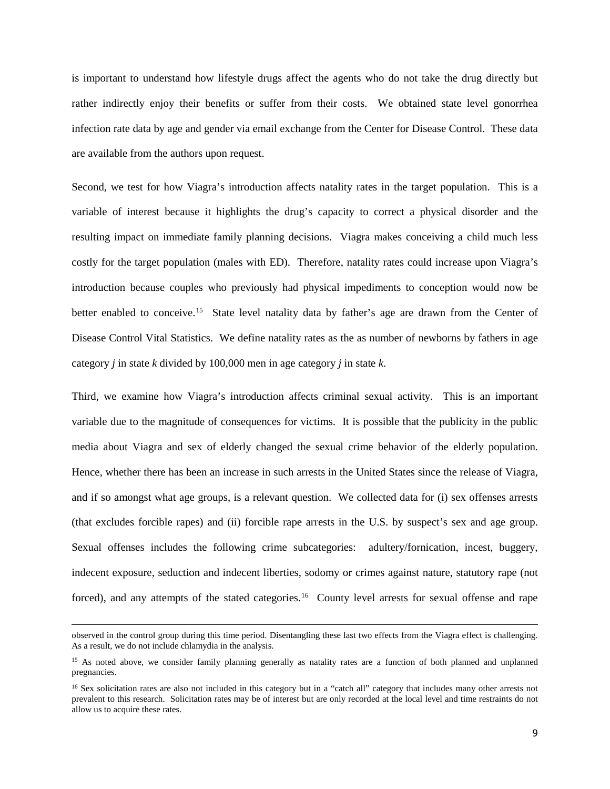is important to understand how lifestyle drugs affect the agents who do not take the drug directly but rather indirectly enjoy their benefits or suffer from their costs. We obtained state level gonorrhea infection rate data by age and gender via email exchange from the Center for Disease Control. These data are available from the authors upon request.

Second, we test for how Viagra's introduction affects natality rates in the target population. This is a variable of interest because it highlights the drug's capacity to correct a physical disorder and the resulting impact on immediate family planning decisions. Viagra makes conceiving a child much less costly for the target population (males with ED). Therefore, natality rates could increase upon Viagra's introduction because couples who previously had physical impediments to conception would now be better enabled to conceive.<sup>15</sup> State level natality data by father's age are drawn from the Center of Disease Control Vital Statistics. We define natality rates as the as number of newborns by fathers in age category *j* in state *k* divided by 100,000 men in age category *j* in state *k*.

Third, we examine how Viagra's introduction affects criminal sexual activity. This is an important variable due to the magnitude of consequences for victims. It is possible that the publicity in the public media about Viagra and sex of elderly changed the sexual crime behavior of the elderly population. Hence, whether there has been an increase in such arrests in the United States since the release of Viagra, and if so amongst what age groups, is a relevant question. We collected data for (i) sex offenses arrests (that excludes forcible rapes) and (ii) forcible rape arrests in the U.S. by suspect's sex and age group. Sexual offenses includes the following crime subcategories: adultery/fornication, incest, buggery, indecent exposure, seduction and indecent liberties, sodomy or crimes against nature, statutory rape (not forced), and any attempts of the stated categories.<sup>16</sup> County level arrests for sexual offense and rape

 $\overline{\phantom{a}}$ 

observed in the control group during this time period. Disentangling these last two effects from the Viagra effect is challenging. As a result, we do not include chlamydia in the analysis.

<span id="page-10-0"></span><sup>&</sup>lt;sup>15</sup> As noted above, we consider family planning generally as natality rates are a function of both planned and unplanned pregnancies.

<span id="page-10-1"></span><sup>&</sup>lt;sup>16</sup> Sex solicitation rates are also not included in this category but in a "catch all" category that includes many other arrests not prevalent to this research. Solicitation rates may be of interest but are only recorded at the local level and time restraints do not allow us to acquire these rates.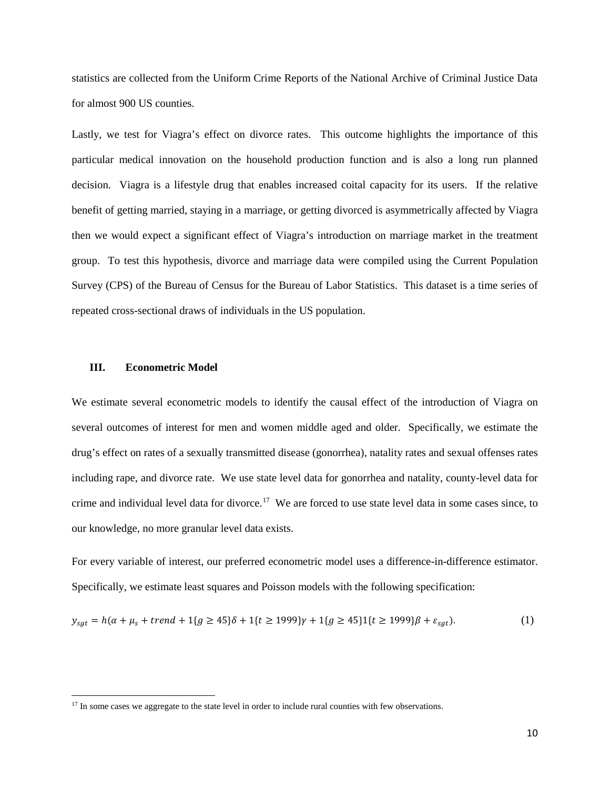statistics are collected from the Uniform Crime Reports of the National Archive of Criminal Justice Data for almost 900 US counties.

Lastly, we test for Viagra's effect on divorce rates. This outcome highlights the importance of this particular medical innovation on the household production function and is also a long run planned decision. Viagra is a lifestyle drug that enables increased coital capacity for its users. If the relative benefit of getting married, staying in a marriage, or getting divorced is asymmetrically affected by Viagra then we would expect a significant effect of Viagra's introduction on marriage market in the treatment group. To test this hypothesis, divorce and marriage data were compiled using the Current Population Survey (CPS) of the Bureau of Census for the Bureau of Labor Statistics. This dataset is a time series of repeated cross-sectional draws of individuals in the US population.

#### **III. Econometric Model**

l

We estimate several econometric models to identify the causal effect of the introduction of Viagra on several outcomes of interest for men and women middle aged and older. Specifically, we estimate the drug's effect on rates of a sexually transmitted disease (gonorrhea), natality rates and sexual offenses rates including rape, and divorce rate. We use state level data for gonorrhea and natality, county-level data for crime and individual level data for divorce.[17](#page-11-0) We are forced to use state level data in some cases since, to our knowledge, no more granular level data exists.

For every variable of interest, our preferred econometric model uses a difference-in-difference estimator. Specifically, we estimate least squares and Poisson models with the following specification:

$$
y_{sgt} = h(\alpha + \mu_s + trend + 1\{g \ge 45\}\delta + 1\{t \ge 1999\}\gamma + 1\{g \ge 45\}1\{t \ge 1999\}\beta + \varepsilon_{sgt}).
$$
 (1)

<span id="page-11-0"></span><sup>&</sup>lt;sup>17</sup> In some cases we aggregate to the state level in order to include rural counties with few observations.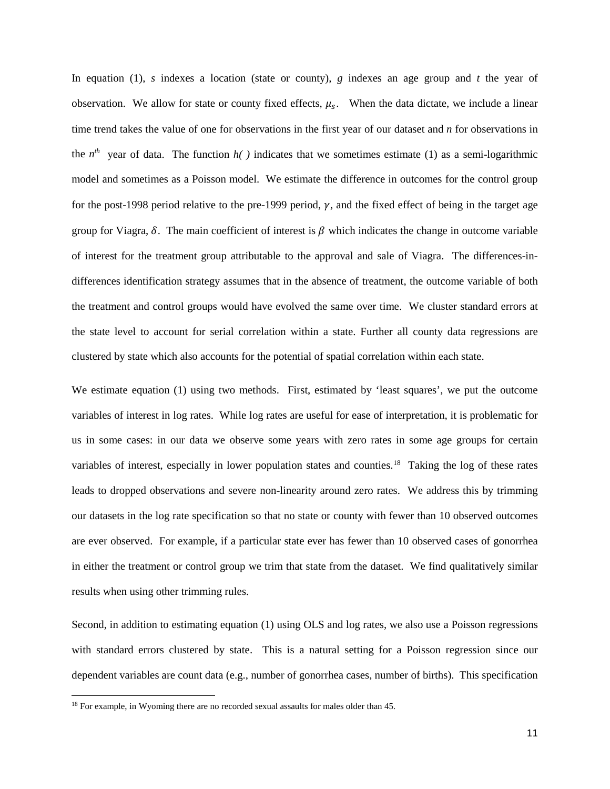In equation (1), *s* indexes a location (state or county), *g* indexes an age group and *t* the year of observation. We allow for state or county fixed effects,  $\mu_s$ . When the data dictate, we include a linear time trend takes the value of one for observations in the first year of our dataset and *n* for observations in the  $n^{th}$  year of data. The function  $h( )$  indicates that we sometimes estimate (1) as a semi-logarithmic model and sometimes as a Poisson model. We estimate the difference in outcomes for the control group for the post-1998 period relative to the pre-1999 period,  $\gamma$ , and the fixed effect of being in the target age group for Viagra,  $\delta$ . The main coefficient of interest is  $\beta$  which indicates the change in outcome variable of interest for the treatment group attributable to the approval and sale of Viagra. The differences-indifferences identification strategy assumes that in the absence of treatment, the outcome variable of both the treatment and control groups would have evolved the same over time. We cluster standard errors at the state level to account for serial correlation within a state. Further all county data regressions are clustered by state which also accounts for the potential of spatial correlation within each state.

We estimate equation (1) using two methods. First, estimated by 'least squares', we put the outcome variables of interest in log rates. While log rates are useful for ease of interpretation, it is problematic for us in some cases: in our data we observe some years with zero rates in some age groups for certain variables of interest, especially in lower population states and counties.<sup>[18](#page-12-0)</sup> Taking the log of these rates leads to dropped observations and severe non-linearity around zero rates. We address this by trimming our datasets in the log rate specification so that no state or county with fewer than 10 observed outcomes are ever observed. For example, if a particular state ever has fewer than 10 observed cases of gonorrhea in either the treatment or control group we trim that state from the dataset. We find qualitatively similar results when using other trimming rules.

Second, in addition to estimating equation (1) using OLS and log rates, we also use a Poisson regressions with standard errors clustered by state. This is a natural setting for a Poisson regression since our dependent variables are count data (e.g., number of gonorrhea cases, number of births). This specification

l

<span id="page-12-0"></span><sup>&</sup>lt;sup>18</sup> For example, in Wyoming there are no recorded sexual assaults for males older than 45.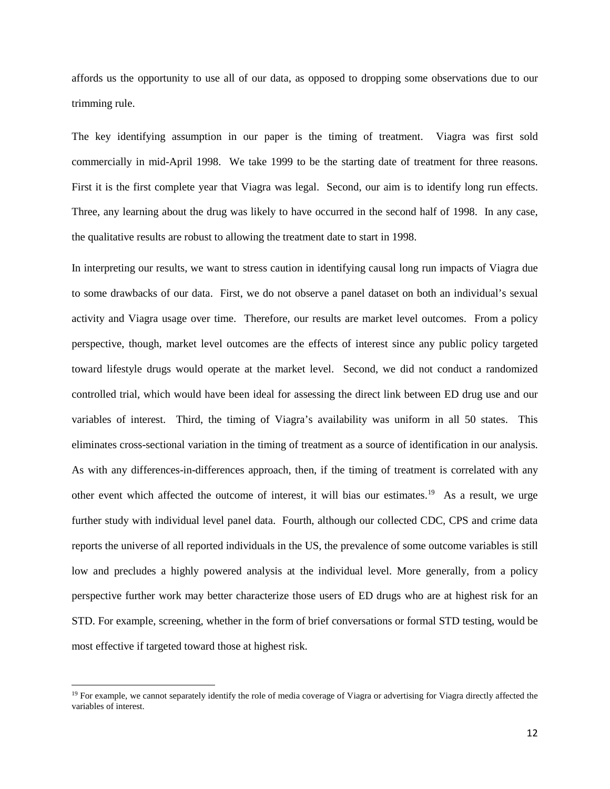affords us the opportunity to use all of our data, as opposed to dropping some observations due to our trimming rule.

The key identifying assumption in our paper is the timing of treatment. Viagra was first sold commercially in mid-April 1998. We take 1999 to be the starting date of treatment for three reasons. First it is the first complete year that Viagra was legal. Second, our aim is to identify long run effects. Three, any learning about the drug was likely to have occurred in the second half of 1998. In any case, the qualitative results are robust to allowing the treatment date to start in 1998.

In interpreting our results, we want to stress caution in identifying causal long run impacts of Viagra due to some drawbacks of our data. First, we do not observe a panel dataset on both an individual's sexual activity and Viagra usage over time. Therefore, our results are market level outcomes. From a policy perspective, though, market level outcomes are the effects of interest since any public policy targeted toward lifestyle drugs would operate at the market level. Second, we did not conduct a randomized controlled trial, which would have been ideal for assessing the direct link between ED drug use and our variables of interest. Third, the timing of Viagra's availability was uniform in all 50 states. This eliminates cross-sectional variation in the timing of treatment as a source of identification in our analysis. As with any differences-in-differences approach, then, if the timing of treatment is correlated with any other event which affected the outcome of interest, it will bias our estimates.[19](#page-13-0) As a result, we urge further study with individual level panel data. Fourth, although our collected CDC, CPS and crime data reports the universe of all reported individuals in the US, the prevalence of some outcome variables is still low and precludes a highly powered analysis at the individual level. More generally, from a policy perspective further work may better characterize those users of ED drugs who are at highest risk for an STD. For example, screening, whether in the form of brief conversations or formal STD testing, would be most effective if targeted toward those at highest risk.

 $\overline{\phantom{a}}$ 

<span id="page-13-0"></span> $19$  For example, we cannot separately identify the role of media coverage of Viagra or advertising for Viagra directly affected the variables of interest.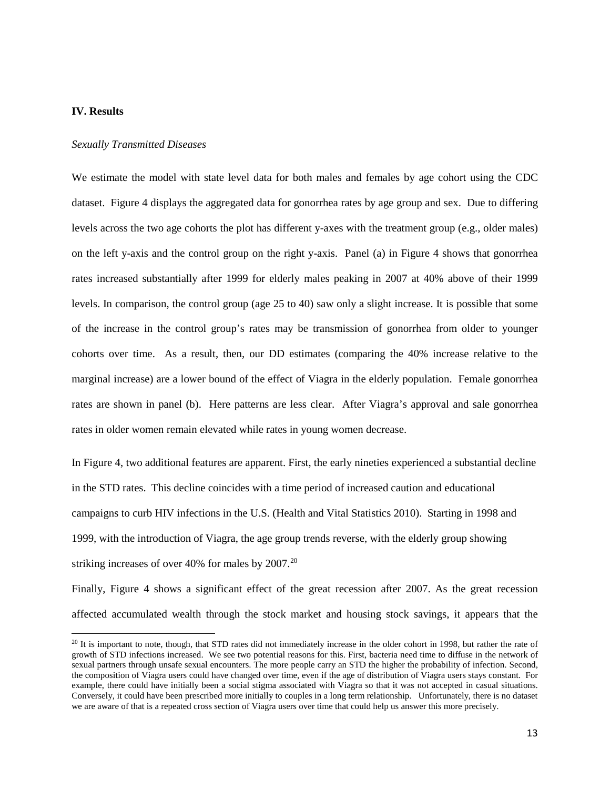#### **IV. Results**

 $\overline{\phantom{a}}$ 

#### *Sexually Transmitted Diseases*

We estimate the model with state level data for both males and females by age cohort using the CDC dataset. Figure 4 displays the aggregated data for gonorrhea rates by age group and sex. Due to differing levels across the two age cohorts the plot has different y-axes with the treatment group (e.g., older males) on the left y-axis and the control group on the right y-axis. Panel (a) in Figure 4 shows that gonorrhea rates increased substantially after 1999 for elderly males peaking in 2007 at 40% above of their 1999 levels. In comparison, the control group (age 25 to 40) saw only a slight increase. It is possible that some of the increase in the control group's rates may be transmission of gonorrhea from older to younger cohorts over time. As a result, then, our DD estimates (comparing the 40% increase relative to the marginal increase) are a lower bound of the effect of Viagra in the elderly population. Female gonorrhea rates are shown in panel (b). Here patterns are less clear. After Viagra's approval and sale gonorrhea rates in older women remain elevated while rates in young women decrease.

In Figure 4, two additional features are apparent. First, the early nineties experienced a substantial decline in the STD rates. This decline coincides with a time period of increased caution and educational campaigns to curb HIV infections in the U.S. (Health and Vital Statistics 2010). Starting in 1998 and 1999, with the introduction of Viagra, the age group trends reverse, with the elderly group showing striking increases of over 40% for males by [20](#page-14-0)07.<sup>20</sup>

Finally, Figure 4 shows a significant effect of the great recession after 2007. As the great recession affected accumulated wealth through the stock market and housing stock savings, it appears that the

<span id="page-14-0"></span> $20$  It is important to note, though, that STD rates did not immediately increase in the older cohort in 1998, but rather the rate of growth of STD infections increased. We see two potential reasons for this. First, bacteria need time to diffuse in the network of sexual partners through unsafe sexual encounters. The more people carry an STD the higher the probability of infection. Second, the composition of Viagra users could have changed over time, even if the age of distribution of Viagra users stays constant. For example, there could have initially been a social stigma associated with Viagra so that it was not accepted in casual situations. Conversely, it could have been prescribed more initially to couples in a long term relationship. Unfortunately, there is no dataset we are aware of that is a repeated cross section of Viagra users over time that could help us answer this more precisely.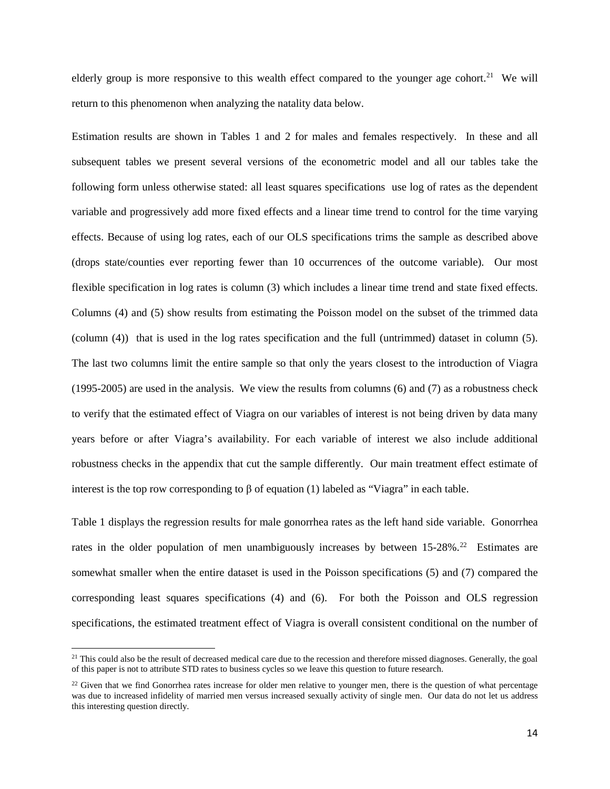elderly group is more responsive to this wealth effect compared to the younger age cohort.<sup>[21](#page-15-0)</sup> We will return to this phenomenon when analyzing the natality data below.

Estimation results are shown in Tables 1 and 2 for males and females respectively. In these and all subsequent tables we present several versions of the econometric model and all our tables take the following form unless otherwise stated: all least squares specifications use log of rates as the dependent variable and progressively add more fixed effects and a linear time trend to control for the time varying effects. Because of using log rates, each of our OLS specifications trims the sample as described above (drops state/counties ever reporting fewer than 10 occurrences of the outcome variable). Our most flexible specification in log rates is column (3) which includes a linear time trend and state fixed effects. Columns (4) and (5) show results from estimating the Poisson model on the subset of the trimmed data (column (4)) that is used in the log rates specification and the full (untrimmed) dataset in column (5). The last two columns limit the entire sample so that only the years closest to the introduction of Viagra (1995-2005) are used in the analysis. We view the results from columns (6) and (7) as a robustness check to verify that the estimated effect of Viagra on our variables of interest is not being driven by data many years before or after Viagra's availability. For each variable of interest we also include additional robustness checks in the appendix that cut the sample differently. Our main treatment effect estimate of interest is the top row corresponding to β of equation (1) labeled as "Viagra" in each table.

Table 1 displays the regression results for male gonorrhea rates as the left hand side variable. Gonorrhea rates in the older population of men unambiguously increases by between 15-28%.<sup>22</sup> Estimates are somewhat smaller when the entire dataset is used in the Poisson specifications (5) and (7) compared the corresponding least squares specifications (4) and (6). For both the Poisson and OLS regression specifications, the estimated treatment effect of Viagra is overall consistent conditional on the number of

 $\overline{\phantom{a}}$ 

<span id="page-15-0"></span> $21$  This could also be the result of decreased medical care due to the recession and therefore missed diagnoses. Generally, the goal of this paper is not to attribute STD rates to business cycles so we leave this question to future research.

<span id="page-15-1"></span> $22$  Given that we find Gonorrhea rates increase for older men relative to younger men, there is the question of what percentage was due to increased infidelity of married men versus increased sexually activity of single men. Our data do not let us address this interesting question directly.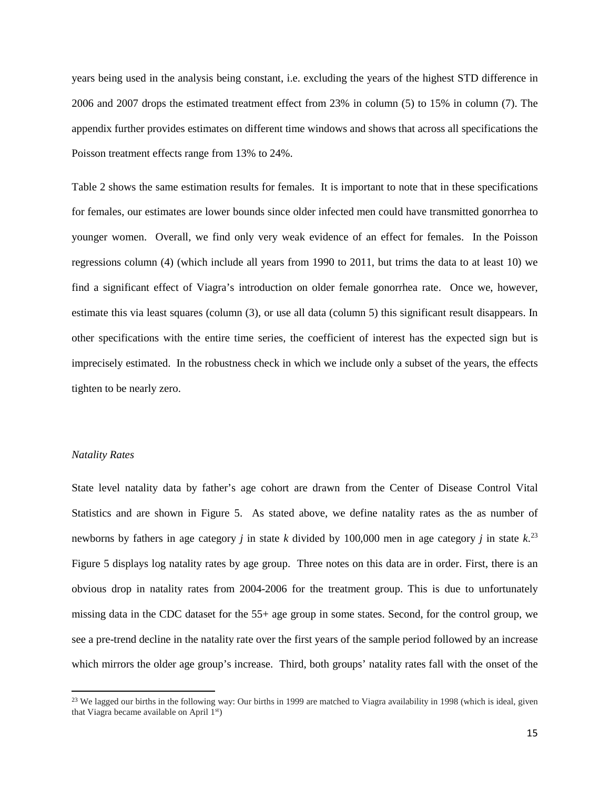years being used in the analysis being constant, i.e. excluding the years of the highest STD difference in 2006 and 2007 drops the estimated treatment effect from 23% in column (5) to 15% in column (7). The appendix further provides estimates on different time windows and shows that across all specifications the Poisson treatment effects range from 13% to 24%.

Table 2 shows the same estimation results for females. It is important to note that in these specifications for females, our estimates are lower bounds since older infected men could have transmitted gonorrhea to younger women. Overall, we find only very weak evidence of an effect for females. In the Poisson regressions column (4) (which include all years from 1990 to 2011, but trims the data to at least 10) we find a significant effect of Viagra's introduction on older female gonorrhea rate. Once we, however, estimate this via least squares (column (3), or use all data (column 5) this significant result disappears. In other specifications with the entire time series, the coefficient of interest has the expected sign but is imprecisely estimated. In the robustness check in which we include only a subset of the years, the effects tighten to be nearly zero.

#### *Natality Rates*

l

State level natality data by father's age cohort are drawn from the Center of Disease Control Vital Statistics and are shown in Figure 5. As stated above, we define natality rates as the as number of newborns by fathers in age category *j* in state *k* divided by 100,000 men in age category *j* in state *k*. [23](#page-16-0) Figure 5 displays log natality rates by age group. Three notes on this data are in order. First, there is an obvious drop in natality rates from 2004-2006 for the treatment group. This is due to unfortunately missing data in the CDC dataset for the 55+ age group in some states. Second, for the control group, we see a pre-trend decline in the natality rate over the first years of the sample period followed by an increase which mirrors the older age group's increase. Third, both groups' natality rates fall with the onset of the

<span id="page-16-0"></span> $2<sup>23</sup>$  We lagged our births in the following way: Our births in 1999 are matched to Viagra availability in 1998 (which is ideal, given that Viagra became available on April 1st)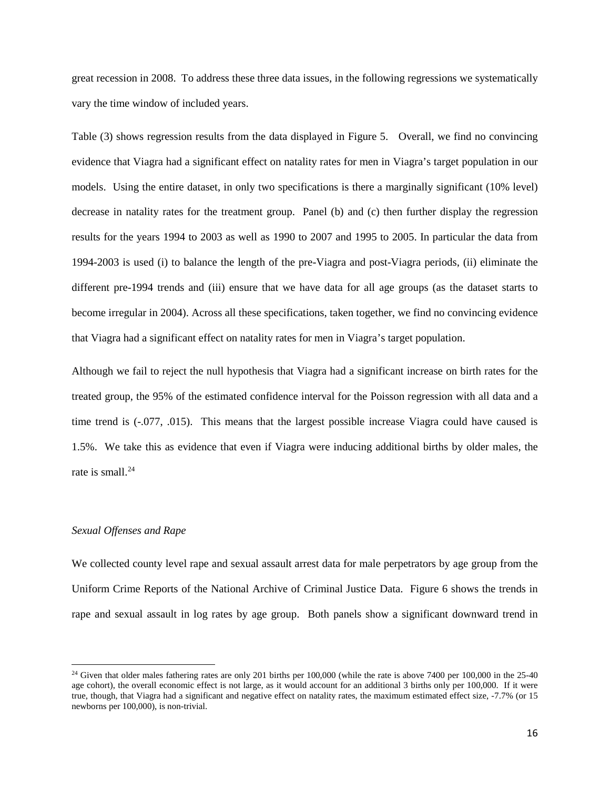great recession in 2008. To address these three data issues, in the following regressions we systematically vary the time window of included years.

Table (3) shows regression results from the data displayed in Figure 5. Overall, we find no convincing evidence that Viagra had a significant effect on natality rates for men in Viagra's target population in our models. Using the entire dataset, in only two specifications is there a marginally significant (10% level) decrease in natality rates for the treatment group. Panel (b) and (c) then further display the regression results for the years 1994 to 2003 as well as 1990 to 2007 and 1995 to 2005. In particular the data from 1994-2003 is used (i) to balance the length of the pre-Viagra and post-Viagra periods, (ii) eliminate the different pre-1994 trends and (iii) ensure that we have data for all age groups (as the dataset starts to become irregular in 2004). Across all these specifications, taken together, we find no convincing evidence that Viagra had a significant effect on natality rates for men in Viagra's target population.

Although we fail to reject the null hypothesis that Viagra had a significant increase on birth rates for the treated group, the 95% of the estimated confidence interval for the Poisson regression with all data and a time trend is (-.077, .015). This means that the largest possible increase Viagra could have caused is 1.5%. We take this as evidence that even if Viagra were inducing additional births by older males, the rate is small.<sup>24</sup>

#### *Sexual Offenses and Rape*

l

We collected county level rape and sexual assault arrest data for male perpetrators by age group from the Uniform Crime Reports of the National Archive of Criminal Justice Data. Figure 6 shows the trends in rape and sexual assault in log rates by age group. Both panels show a significant downward trend in

<span id="page-17-0"></span> $24$  Given that older males fathering rates are only 201 births per 100,000 (while the rate is above 7400 per 100,000 in the 25-40 age cohort), the overall economic effect is not large, as it would account for an additional 3 births only per 100,000. If it were true, though, that Viagra had a significant and negative effect on natality rates, the maximum estimated effect size, -7.7% (or 15 newborns per 100,000), is non-trivial.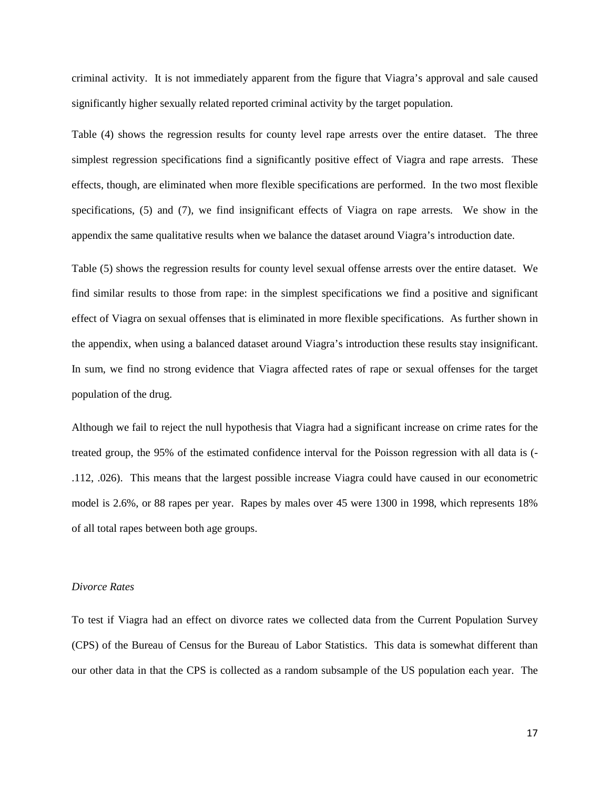criminal activity. It is not immediately apparent from the figure that Viagra's approval and sale caused significantly higher sexually related reported criminal activity by the target population.

Table (4) shows the regression results for county level rape arrests over the entire dataset. The three simplest regression specifications find a significantly positive effect of Viagra and rape arrests. These effects, though, are eliminated when more flexible specifications are performed. In the two most flexible specifications, (5) and (7), we find insignificant effects of Viagra on rape arrests. We show in the appendix the same qualitative results when we balance the dataset around Viagra's introduction date.

Table (5) shows the regression results for county level sexual offense arrests over the entire dataset. We find similar results to those from rape: in the simplest specifications we find a positive and significant effect of Viagra on sexual offenses that is eliminated in more flexible specifications. As further shown in the appendix, when using a balanced dataset around Viagra's introduction these results stay insignificant. In sum, we find no strong evidence that Viagra affected rates of rape or sexual offenses for the target population of the drug.

Although we fail to reject the null hypothesis that Viagra had a significant increase on crime rates for the treated group, the 95% of the estimated confidence interval for the Poisson regression with all data is (- .112, .026). This means that the largest possible increase Viagra could have caused in our econometric model is 2.6%, or 88 rapes per year. Rapes by males over 45 were 1300 in 1998, which represents 18% of all total rapes between both age groups.

#### *Divorce Rates*

To test if Viagra had an effect on divorce rates we collected data from the Current Population Survey (CPS) of the Bureau of Census for the Bureau of Labor Statistics. This data is somewhat different than our other data in that the CPS is collected as a random subsample of the US population each year. The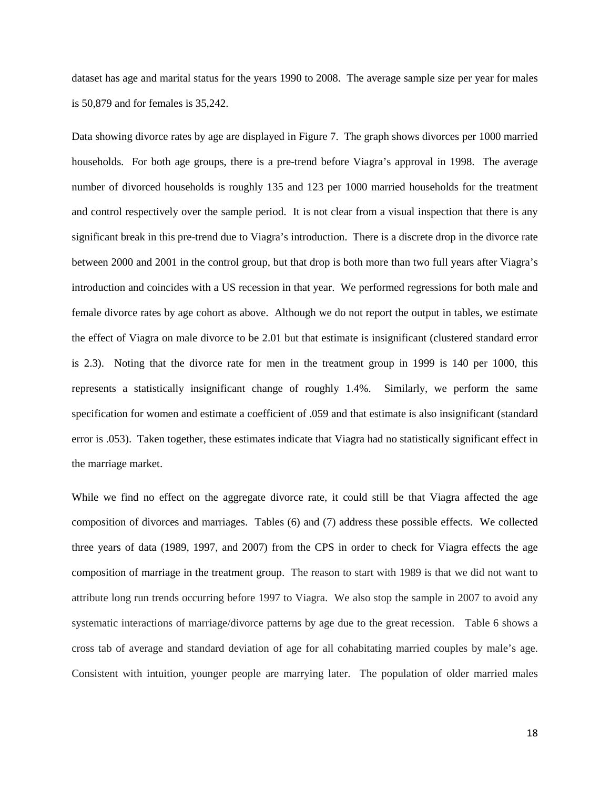dataset has age and marital status for the years 1990 to 2008. The average sample size per year for males is 50,879 and for females is 35,242.

Data showing divorce rates by age are displayed in Figure 7. The graph shows divorces per 1000 married households. For both age groups, there is a pre-trend before Viagra's approval in 1998. The average number of divorced households is roughly 135 and 123 per 1000 married households for the treatment and control respectively over the sample period. It is not clear from a visual inspection that there is any significant break in this pre-trend due to Viagra's introduction. There is a discrete drop in the divorce rate between 2000 and 2001 in the control group, but that drop is both more than two full years after Viagra's introduction and coincides with a US recession in that year. We performed regressions for both male and female divorce rates by age cohort as above. Although we do not report the output in tables, we estimate the effect of Viagra on male divorce to be 2.01 but that estimate is insignificant (clustered standard error is 2.3). Noting that the divorce rate for men in the treatment group in 1999 is 140 per 1000, this represents a statistically insignificant change of roughly 1.4%. Similarly, we perform the same specification for women and estimate a coefficient of .059 and that estimate is also insignificant (standard error is .053). Taken together, these estimates indicate that Viagra had no statistically significant effect in the marriage market.

While we find no effect on the aggregate divorce rate, it could still be that Viagra affected the age composition of divorces and marriages. Tables (6) and (7) address these possible effects. We collected three years of data (1989, 1997, and 2007) from the CPS in order to check for Viagra effects the age composition of marriage in the treatment group. The reason to start with 1989 is that we did not want to attribute long run trends occurring before 1997 to Viagra. We also stop the sample in 2007 to avoid any systematic interactions of marriage/divorce patterns by age due to the great recession. Table 6 shows a cross tab of average and standard deviation of age for all cohabitating married couples by male's age. Consistent with intuition, younger people are marrying later. The population of older married males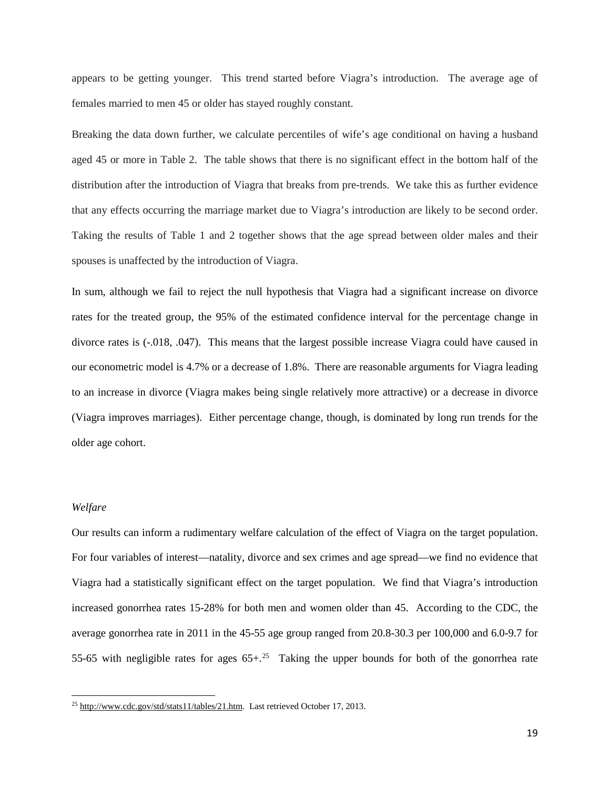appears to be getting younger. This trend started before Viagra's introduction. The average age of females married to men 45 or older has stayed roughly constant.

Breaking the data down further, we calculate percentiles of wife's age conditional on having a husband aged 45 or more in Table 2. The table shows that there is no significant effect in the bottom half of the distribution after the introduction of Viagra that breaks from pre-trends. We take this as further evidence that any effects occurring the marriage market due to Viagra's introduction are likely to be second order. Taking the results of Table 1 and 2 together shows that the age spread between older males and their spouses is unaffected by the introduction of Viagra.

In sum, although we fail to reject the null hypothesis that Viagra had a significant increase on divorce rates for the treated group, the 95% of the estimated confidence interval for the percentage change in divorce rates is (-.018, .047). This means that the largest possible increase Viagra could have caused in our econometric model is 4.7% or a decrease of 1.8%. There are reasonable arguments for Viagra leading to an increase in divorce (Viagra makes being single relatively more attractive) or a decrease in divorce (Viagra improves marriages). Either percentage change, though, is dominated by long run trends for the older age cohort.

#### *Welfare*

l

Our results can inform a rudimentary welfare calculation of the effect of Viagra on the target population. For four variables of interest—natality, divorce and sex crimes and age spread—we find no evidence that Viagra had a statistically significant effect on the target population. We find that Viagra's introduction increased gonorrhea rates 15-28% for both men and women older than 45. According to the CDC, the average gonorrhea rate in 2011 in the 45-55 age group ranged from 20.8-30.3 per 100,000 and 6.0-9.7 for 55-65 with negligible rates for ages  $65+.25$  $65+.25$  Taking the upper bounds for both of the gonorrhea rate

<span id="page-20-0"></span><sup>&</sup>lt;sup>25</sup> [http://www.cdc.gov/std/stats11/tables/21.htm.](http://www.cdc.gov/std/stats11/tables/21.htm) Last retrieved October 17, 2013.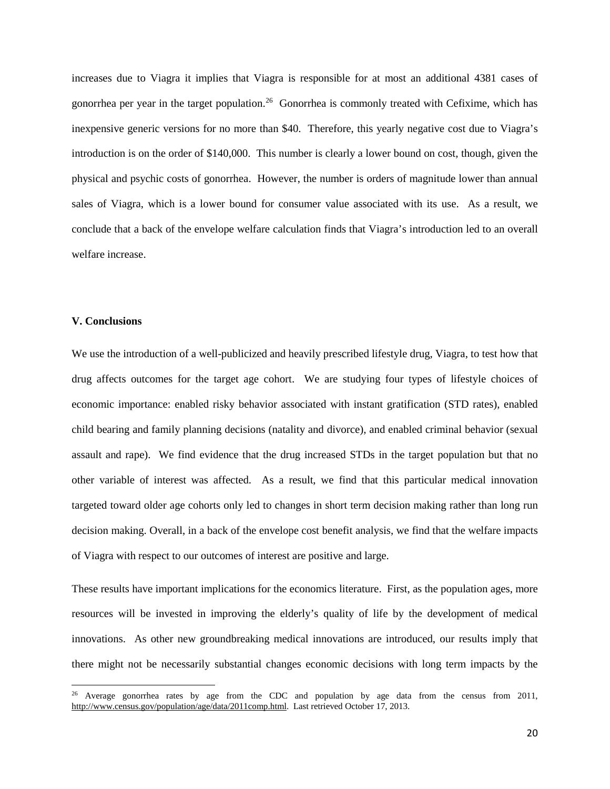increases due to Viagra it implies that Viagra is responsible for at most an additional 4381 cases of gonorrhea per year in the target population. [26](#page-21-0) Gonorrhea is commonly treated with Cefixime, which has inexpensive generic versions for no more than \$40. Therefore, this yearly negative cost due to Viagra's introduction is on the order of \$140,000. This number is clearly a lower bound on cost, though, given the physical and psychic costs of gonorrhea. However, the number is orders of magnitude lower than annual sales of Viagra, which is a lower bound for consumer value associated with its use. As a result, we conclude that a back of the envelope welfare calculation finds that Viagra's introduction led to an overall welfare increase.

#### **V. Conclusions**

 $\overline{\phantom{a}}$ 

We use the introduction of a well-publicized and heavily prescribed lifestyle drug, Viagra, to test how that drug affects outcomes for the target age cohort. We are studying four types of lifestyle choices of economic importance: enabled risky behavior associated with instant gratification (STD rates), enabled child bearing and family planning decisions (natality and divorce), and enabled criminal behavior (sexual assault and rape). We find evidence that the drug increased STDs in the target population but that no other variable of interest was affected. As a result, we find that this particular medical innovation targeted toward older age cohorts only led to changes in short term decision making rather than long run decision making. Overall, in a back of the envelope cost benefit analysis, we find that the welfare impacts of Viagra with respect to our outcomes of interest are positive and large.

These results have important implications for the economics literature. First, as the population ages, more resources will be invested in improving the elderly's quality of life by the development of medical innovations. As other new groundbreaking medical innovations are introduced, our results imply that there might not be necessarily substantial changes economic decisions with long term impacts by the

<span id="page-21-0"></span><sup>&</sup>lt;sup>26</sup> Average gonorrhea rates by age from the CDC and population by age data from the census from 2011, [http://www.census.gov/population/age/data/2011comp.html.](http://www.census.gov/population/age/data/2011comp.html) Last retrieved October 17, 2013.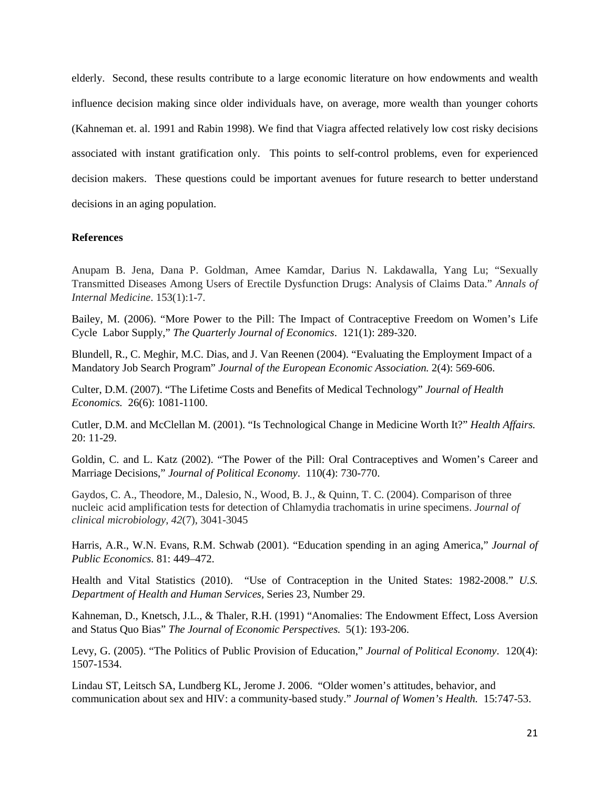elderly. Second, these results contribute to a large economic literature on how endowments and wealth influence decision making since older individuals have, on average, more wealth than younger cohorts (Kahneman et. al. 1991 and Rabin 1998). We find that Viagra affected relatively low cost risky decisions associated with instant gratification only. This points to self-control problems, even for experienced decision makers. These questions could be important avenues for future research to better understand decisions in an aging population.

#### **References**

Anupam B. Jena, Dana P. Goldman, Amee Kamdar, Darius N. Lakdawalla, Yang Lu; "Sexually Transmitted Diseases Among Users of Erectile Dysfunction Drugs: Analysis of Claims Data." *Annals of Internal Medicine*. 153(1):1-7.

Bailey, M. (2006). "More Power to the Pill: The Impact of Contraceptive Freedom on Women's Life Cycle Labor Supply," *The Quarterly Journal of Economics*. 121(1): 289-320.

Blundell, R., C. Meghir, M.C. Dias, and J. Van Reenen (2004). "Evaluating the Employment Impact of a Mandatory Job Search Program" *Journal of the European Economic Association.* 2(4): 569-606.

Culter, D.M. (2007). "The Lifetime Costs and Benefits of Medical Technology" *Journal of Health Economics.* 26(6): 1081-1100.

Cutler, D.M. and McClellan M. (2001). "Is Technological Change in Medicine Worth It?" *Health Affairs.*  20: 11-29.

Goldin, C. and L. Katz (2002). "The Power of the Pill: Oral Contraceptives and Women's Career and Marriage Decisions," *Journal of Political Economy*. 110(4): 730-770.

Gaydos, C. A., Theodore, M., Dalesio, N., Wood, B. J., & Quinn, T. C. (2004). Comparison of three nucleic acid amplification tests for detection of Chlamydia trachomatis in urine specimens. *Journal of clinical microbiology*, *42*(7), 3041-3045

Harris, A.R., W.N. Evans, R.M. Schwab (2001). "Education spending in an aging America," *Journal of Public Economics.* 81: 449–472.

Health and Vital Statistics (2010). "Use of Contraception in the United States: 1982-2008." *U.S. Department of Health and Human Services,* Series 23, Number 29.

Kahneman, D., Knetsch, J.L., & Thaler, R.H. (1991) "Anomalies: The Endowment Effect, Loss Aversion and Status Quo Bias" *The Journal of Economic Perspectives.* 5(1): 193-206.

Levy, G. (2005). "The Politics of Public Provision of Education," *Journal of Political Economy*. 120(4): 1507-1534.

Lindau ST, Leitsch SA, Lundberg KL, Jerome J. 2006. "Older women's attitudes, behavior, and communication about sex and HIV: a community-based study." *Journal of Women's Health.* 15:747-53.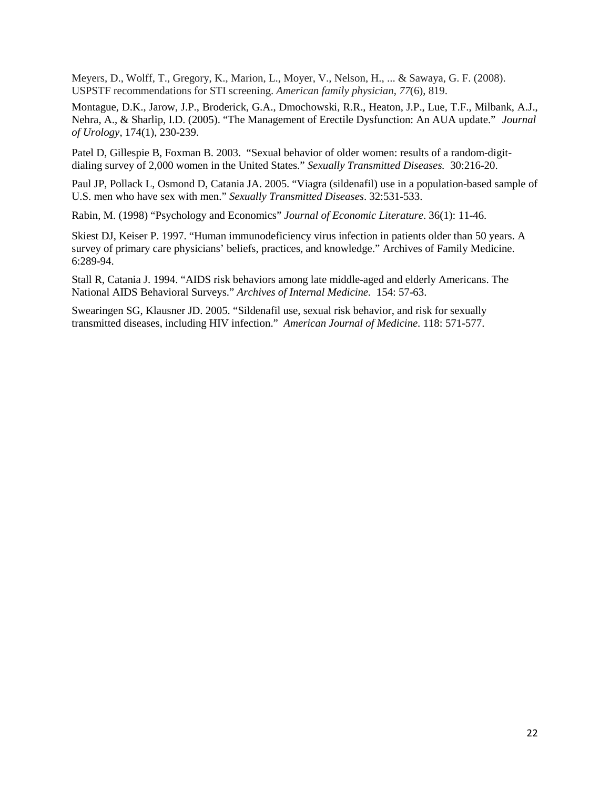Meyers, D., Wolff, T., Gregory, K., Marion, L., Moyer, V., Nelson, H., ... & Sawaya, G. F. (2008). USPSTF recommendations for STI screening. *American family physician*, *77*(6), 819.

Montague, D.K., Jarow, J.P., Broderick, G.A., Dmochowski, R.R., Heaton, J.P., Lue, T.F., Milbank, A.J., Nehra, A., & Sharlip, I.D. (2005). "The Management of Erectile Dysfunction: An AUA update." *Journal of Urology*, 174(1), 230-239.

Patel D, Gillespie B, Foxman B. 2003. "Sexual behavior of older women: results of a random-digitdialing survey of 2,000 women in the United States." *Sexually Transmitted Diseases.* 30:216-20.

Paul JP, Pollack L, Osmond D, Catania JA. 2005. "Viagra (sildenafil) use in a population-based sample of U.S. men who have sex with men." *Sexually Transmitted Diseases*. 32:531-533.

Rabin, M. (1998) "Psychology and Economics" *Journal of Economic Literature*. 36(1): 11-46.

Skiest DJ, Keiser P. 1997. "Human immunodeficiency virus infection in patients older than 50 years. A survey of primary care physicians' beliefs, practices, and knowledge." Archives of Family Medicine. 6:289-94.

Stall R, Catania J. 1994. "AIDS risk behaviors among late middle-aged and elderly Americans. The National AIDS Behavioral Surveys." *Archives of Internal Medicine.* 154: 57-63.

Swearingen SG, Klausner JD. 2005. "Sildenafil use, sexual risk behavior, and risk for sexually transmitted diseases, including HIV infection." *American Journal of Medicine.* 118: 571-577.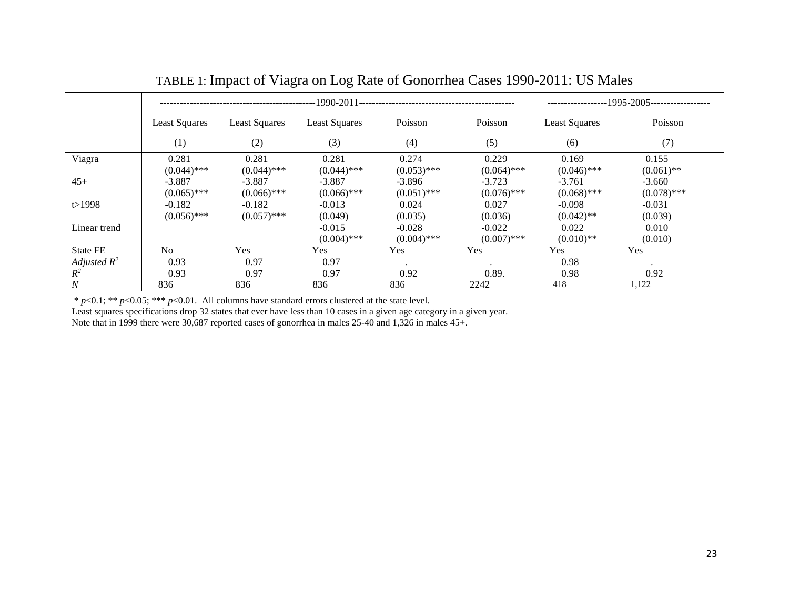|                |                                              |               | $---1995-2005---122221$ |               |               |               |               |
|----------------|----------------------------------------------|---------------|-------------------------|---------------|---------------|---------------|---------------|
|                | <b>Least Squares</b><br><b>Least Squares</b> |               | <b>Least Squares</b>    | Poisson       |               | Least Squares | Poisson       |
|                | (1)                                          | (2)           | (3)                     | (4)           | (5)           | (6)           | (7)           |
| Viagra         | 0.281                                        | 0.281         | 0.281                   | 0.274         | 0.229         | 0.169         | 0.155         |
|                | $(0.044)$ ***                                | $(0.044)$ *** | $(0.044)$ ***           | $(0.053)$ *** | $(0.064)$ *** | $(0.046)$ *** | $(0.061)$ **  |
| $45+$          | $-3.887$                                     | $-3.887$      | $-3.887$                | $-3.896$      | $-3.723$      | $-3.761$      | $-3.660$      |
|                | $(0.065)$ ***                                | $(0.066)$ *** | $(0.066)$ ***           | $(0.051)$ *** | $(0.076)$ *** | $(0.068)$ *** | $(0.078)$ *** |
| t > 1998       | $-0.182$                                     | $-0.182$      | $-0.013$                | 0.024         | 0.027         | $-0.098$      | $-0.031$      |
|                | $(0.056)$ ***                                | $(0.057)$ *** | (0.049)                 | (0.035)       | (0.036)       | $(0.042)$ **  | (0.039)       |
| Linear trend   |                                              |               | $-0.015$                | $-0.028$      | $-0.022$      | 0.022         | 0.010         |
|                |                                              |               | $(0.004)$ ***           | $(0.004)$ *** | $(0.007)$ *** | $(0.010)$ **  | (0.010)       |
| State FE       | N <sub>o</sub>                               | <b>Yes</b>    | Yes                     | Yes           | Yes           | Yes           | Yes           |
| Adjusted $R^2$ | 0.93                                         | 0.97          | 0.97                    |               | $\cdot$       | 0.98          | $\cdot$       |
| $R^2$          | 0.93                                         | 0.97          | 0.97                    | 0.92          | 0.89.         | 0.98          | 0.92          |
| Ν              | 836                                          | 836           | 836                     | 836           | 2242          | 418           | 1,122         |

# TABLE 1: Impact of Viagra on Log Rate of Gonorrhea Cases 1990-2011: US Males

\* *p*<0.1; \*\* *p*<0.05; \*\*\* *p*<0.01. All columns have standard errors clustered at the state level.

Least squares specifications drop 32 states that ever have less than 10 cases in a given age category in a given year.

Note that in 1999 there were 30,687 reported cases of gonorrhea in males 25-40 and 1,326 in males 45+.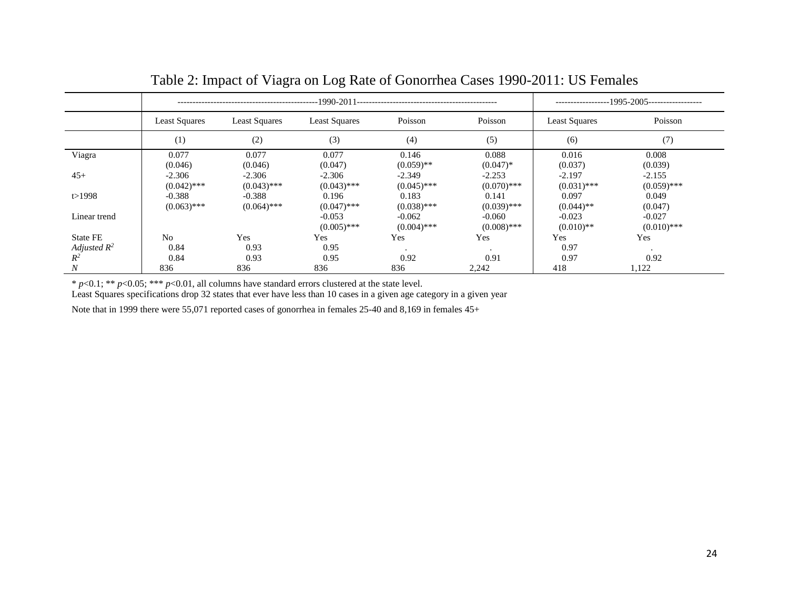|                 |                           |                           | $-1995 - 2005$ -------------------<br>---------------- |                                            |                           |                           |                           |
|-----------------|---------------------------|---------------------------|--------------------------------------------------------|--------------------------------------------|---------------------------|---------------------------|---------------------------|
|                 | <b>Least Squares</b>      | <b>Least Squares</b>      |                                                        | Poisson<br>Poisson<br><b>Least Squares</b> |                           | <b>Least Squares</b>      | Poisson                   |
|                 | (1)                       | (2)                       | (3)                                                    | (4)                                        | (5)                       | (6)                       | (7)                       |
| Viagra          | 0.077<br>(0.046)          | 0.077<br>(0.046)          | 0.077<br>(0.047)                                       | 0.146<br>$(0.059)$ **                      | 0.088<br>$(0.047)^*$      | 0.016<br>(0.037)          | 0.008<br>(0.039)          |
| $45+$           | $-2.306$<br>$(0.042)$ *** | $-2.306$<br>$(0.043)$ *** | $-2.306$<br>$(0.043)$ ***                              | $-2.349$<br>$(0.045)$ ***                  | $-2.253$<br>$(0.070)$ *** | $-2.197$<br>$(0.031)$ *** | $-2.155$<br>$(0.059)$ *** |
| t > 1998        | $-0.388$<br>$(0.063)$ *** | $-0.388$<br>$(0.064)$ *** | 0.196<br>$(0.047)$ ***                                 | 0.183<br>$(0.038)$ ***                     | 0.141<br>$(0.039)$ ***    | 0.097<br>$(0.044)$ **     | 0.049<br>(0.047)          |
| Linear trend    |                           |                           | $-0.053$<br>$(0.005)$ ***                              | $-0.062$<br>$(0.004)$ ***                  | $-0.060$<br>$(0.008)$ *** | $-0.023$<br>$(0.010)$ **  | $-0.027$<br>$(0.010)$ *** |
| <b>State FE</b> | N <sub>0</sub>            | Yes                       | Yes                                                    | Yes                                        | Yes                       | Yes                       | Yes                       |
| Adjusted $R^2$  | 0.84                      | 0.93                      | 0.95                                                   | $\cdot$                                    | $\cdot$                   | 0.97                      | ٠                         |
| $R^2$           | 0.84                      | 0.93                      | 0.95                                                   | 0.92                                       | 0.91                      | 0.97                      | 0.92                      |
| Ν               | 836                       | 836                       | 836                                                    | 836                                        | 2,242                     | 418                       | 1,122                     |

# Table 2: Impact of Viagra on Log Rate of Gonorrhea Cases 1990-2011: US Females

\* *p*<0.1; \*\* *p*<0.05; \*\*\* *p*<0.01, all columns have standard errors clustered at the state level.

Least Squares specifications drop 32 states that ever have less than 10 cases in a given age category in a given year

Note that in 1999 there were 55,071 reported cases of gonorrhea in females 25-40 and 8,169 in females 45+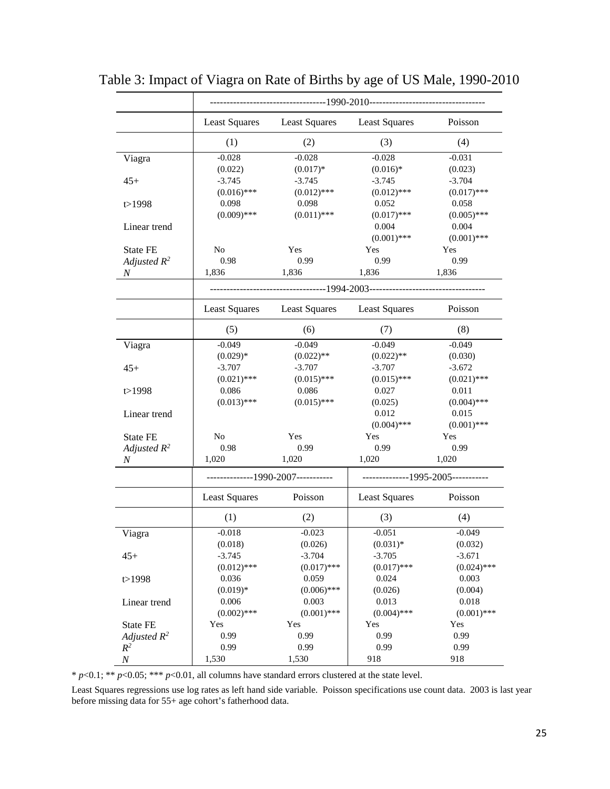|                  | <b>Least Squares</b>               | <b>Least Squares</b> | <b>Least Squares</b> | Poisson                           |
|------------------|------------------------------------|----------------------|----------------------|-----------------------------------|
|                  | (1)                                | (2)                  | (3)                  | (4)                               |
| Viagra           | $-0.028$                           | $-0.028$             | $-0.028$             | $-0.031$                          |
|                  | (0.022)                            | $(0.017)*$           | $(0.016)*$           | (0.023)                           |
| $45+$            | $-3.745$                           | $-3.745$             | $-3.745$             | $-3.704$                          |
|                  | $(0.016)$ ***                      | $(0.012)$ ***        | $(0.012)$ ***        | $(0.017)$ ***                     |
| t > 1998         | 0.098                              | 0.098                | 0.052                | 0.058                             |
|                  | $(0.009)$ ***                      | $(0.011)$ ***        | $(0.017)$ ***        | $(0.005)$ ***                     |
| Linear trend     |                                    |                      | 0.004                | 0.004                             |
|                  |                                    |                      | $(0.001)$ ***        | $(0.001)$ ***                     |
| <b>State FE</b>  | N <sub>o</sub>                     | Yes                  | Yes                  | Yes                               |
| Adjusted $R^2$   | 0.98                               | 0.99                 | 0.99                 | 0.99                              |
| N                | 1,836                              | 1,836                | 1,836                | 1,836                             |
|                  |                                    |                      |                      |                                   |
|                  | <b>Least Squares</b>               | <b>Least Squares</b> | <b>Least Squares</b> | Poisson                           |
|                  | (5)                                | (6)                  | (7)                  | (8)                               |
| Viagra           | $-0.049$                           | $-0.049$             | $-0.049$             | $-0.049$                          |
|                  | $(0.029)*$                         | $(0.022)$ **         | $(0.022)$ **         | (0.030)                           |
| $45+$            | $-3.707$                           | $-3.707$             | $-3.707$             | $-3.672$                          |
|                  | $(0.021)$ ***                      | $(0.015)$ ***        | $(0.015)$ ***        | $(0.021)$ ***                     |
| t > 1998         | 0.086                              | 0.086                | 0.027                | 0.011                             |
|                  | $(0.013)$ ***                      | $(0.015)$ ***        | (0.025)              | $(0.004)$ ***                     |
| Linear trend     |                                    |                      | 0.012                | 0.015                             |
|                  |                                    |                      | $(0.004)$ ***        | $(0.001)$ ***                     |
| State FE         | No                                 | Yes                  | Yes                  | Yes                               |
| Adjusted $R^2$   | 0.98                               | 0.99                 | 0.99                 | 0.99                              |
| $\boldsymbol{N}$ | 1,020                              | 1,020                | 1,020                | 1,020                             |
|                  | --------------1990-2007----------- |                      |                      | -------------1995-2005----------- |
|                  | <b>Least Squares</b>               | Poisson              | <b>Least Squares</b> | Poisson                           |
|                  | (1)                                | (2)                  | (3)                  | (4)                               |
| Viagra           | $-0.018$                           | $-0.023$             | $-0.051$             | $-0.049$                          |
|                  | (0.018)                            | (0.026)              | $(0.031)*$           | (0.032)                           |
| $45+$            | $-3.745$                           | $-3.704$             | $-3.705$             | $-3.671$                          |
|                  | $(0.012)$ ***                      | $(0.017)$ ***        | $(0.017)$ ***        | $(0.024)$ ***                     |
| t > 1998         | 0.036                              | 0.059                | 0.024                | 0.003                             |
|                  | $(0.019)*$                         | $(0.006)$ ***        | (0.026)              | (0.004)                           |
| Linear trend     | 0.006                              | 0.003                | 0.013                | 0.018                             |
|                  | $(0.002)$ ***                      | $(0.001)$ ***        | $(0.004)$ ***        | $(0.001)$ ***                     |
| State FE         | Yes                                | Yes                  | Yes                  | Yes                               |
| Adjusted $R^2$   | 0.99                               | 0.99                 | 0.99                 | 0.99                              |
| $R^2$            | 0.99                               | 0.99                 | 0.99                 | 0.99                              |
| $\boldsymbol{N}$ | 1,530                              | 1,530                | 918                  | 918                               |

Table 3: Impact of Viagra on Rate of Births by age of US Male, 1990-2010

Least Squares regressions use log rates as left hand side variable. Poisson specifications use count data. 2003 is last year before missing data for 55+ age cohort's fatherhood data.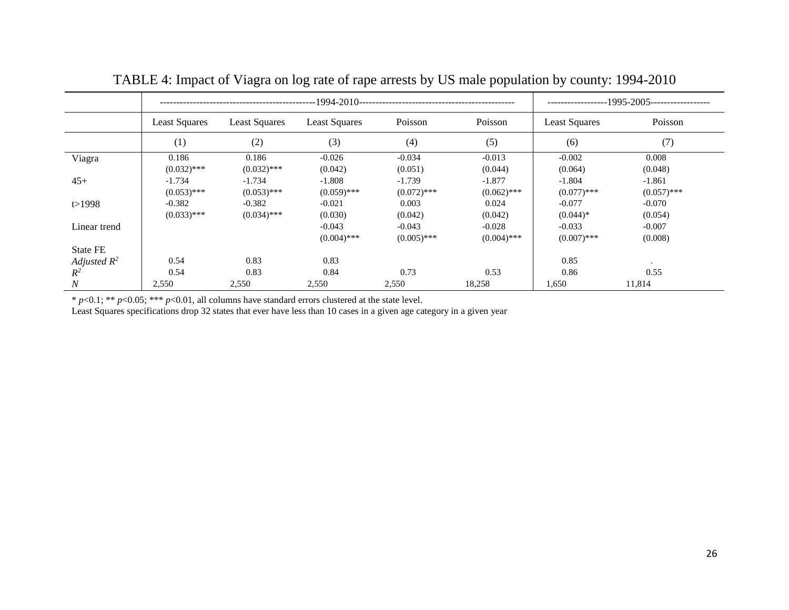|                  |                                              |               | ----1995-2005------------------ |               |               |               |               |
|------------------|----------------------------------------------|---------------|---------------------------------|---------------|---------------|---------------|---------------|
|                  | <b>Least Squares</b><br><b>Least Squares</b> |               | Poisson<br>Least Squares        |               | Poisson       | Least Squares | Poisson       |
|                  | (1)                                          | (2)           | (3)                             | (4)           | (5)           | (6)           | (7)           |
| Viagra           | 0.186                                        | 0.186         | $-0.026$                        | $-0.034$      | $-0.013$      | $-0.002$      | 0.008         |
|                  | $(0.032)$ ***                                | $(0.032)$ *** | (0.042)                         | (0.051)       | (0.044)       | (0.064)       | (0.048)       |
| $45+$            | $-1.734$                                     | $-1.734$      | $-1.808$                        | $-1.739$      | $-1.877$      | $-1.804$      | $-1.861$      |
|                  | $(0.053)$ ***                                | $(0.053)$ *** | $(0.059)$ ***                   | $(0.072)$ *** | $(0.062)$ *** | $(0.077)$ *** | $(0.057)$ *** |
| t > 1998         | $-0.382$                                     | $-0.382$      | $-0.021$                        | 0.003         | 0.024         | $-0.077$      | $-0.070$      |
|                  | $(0.033)$ ***                                | $(0.034)$ *** | (0.030)                         | (0.042)       | (0.042)       | $(0.044)*$    | (0.054)       |
| Linear trend     |                                              |               | $-0.043$                        | $-0.043$      | $-0.028$      | $-0.033$      | $-0.007$      |
|                  |                                              |               | $(0.004)$ ***                   | $(0.005)$ *** | $(0.004)$ *** | $(0.007)$ *** | (0.008)       |
| State FE         |                                              |               |                                 |               |               |               |               |
| Adjusted $R^2$   | 0.54                                         | 0.83          | 0.83                            |               |               | 0.85          | $\bullet$     |
| $R^2$            | 0.54                                         | 0.83          | 0.84                            | 0.73          | 0.53          | 0.86          | 0.55          |
| $\boldsymbol{N}$ | 2,550                                        | 2,550         | 2,550                           | 2,550         | 18,258        | 1,650         | 11,814        |

TABLE 4: Impact of Viagra on log rate of rape arrests by US male population by county: 1994-2010

Least Squares specifications drop 32 states that ever have less than 10 cases in a given age category in a given year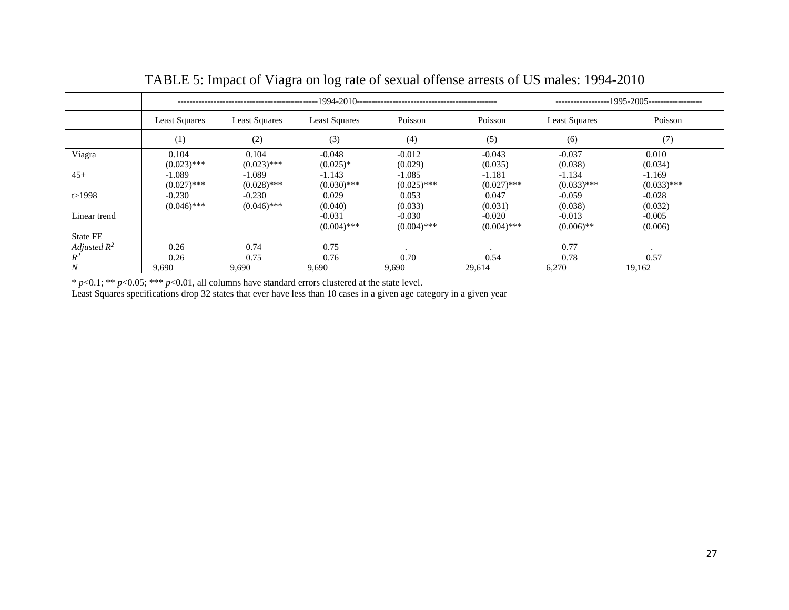|                  |                           |                           | -1995-2005------------------<br>----------------- |                        |                        |                           |                           |
|------------------|---------------------------|---------------------------|---------------------------------------------------|------------------------|------------------------|---------------------------|---------------------------|
|                  | <b>Least Squares</b>      | <b>Least Squares</b>      | <b>Least Squares</b>                              | Poisson                | Poisson                | <b>Least Squares</b>      | Poisson                   |
|                  | (1)                       | (2)                       | (3)                                               | (4)                    | (5)                    | (6)                       | (7)                       |
| Viagra           | 0.104<br>$(0.023)$ ***    | 0.104<br>$(0.023)$ ***    | $-0.048$<br>$(0.025)*$                            | $-0.012$<br>(0.029)    | $-0.043$<br>(0.035)    | $-0.037$<br>(0.038)       | 0.010<br>(0.034)          |
| $45+$            | $-1.089$                  | $-1.089$<br>$(0.028)$ *** | $-1.143$                                          | $-1.085$               | $-1.181$               | $-1.134$                  | $-1.169$                  |
| t > 1998         | $(0.027)$ ***<br>$-0.230$ | $-0.230$                  | $(0.030)$ ***<br>0.029                            | $(0.025)$ ***<br>0.053 | $(0.027)$ ***<br>0.047 | $(0.033)$ ***<br>$-0.059$ | $(0.033)$ ***<br>$-0.028$ |
| Linear trend     | $(0.046)$ ***             | $(0.046)$ ***             | (0.040)<br>$-0.031$                               | (0.033)<br>$-0.030$    | (0.031)<br>$-0.020$    | (0.038)<br>$-0.013$       | (0.032)<br>$-0.005$       |
| <b>State FE</b>  |                           |                           | $(0.004)$ ***                                     | $(0.004)$ ***          | $(0.004)$ ***          | $(0.006)$ **              | (0.006)                   |
| Adjusted $R^2$   | 0.26                      | 0.74                      | 0.75                                              |                        | $\cdot$                | 0.77                      |                           |
| $R^2$            | 0.26                      | 0.75                      | 0.76                                              | 0.70                   | 0.54                   | 0.78                      | 0.57                      |
| $\boldsymbol{N}$ | 9,690                     | 9,690                     | 9,690                                             | 9,690                  | 29,614                 | 6,270                     | 19,162                    |

TABLE 5: Impact of Viagra on log rate of sexual offense arrests of US males: 1994-2010

Least Squares specifications drop 32 states that ever have less than 10 cases in a given age category in a given year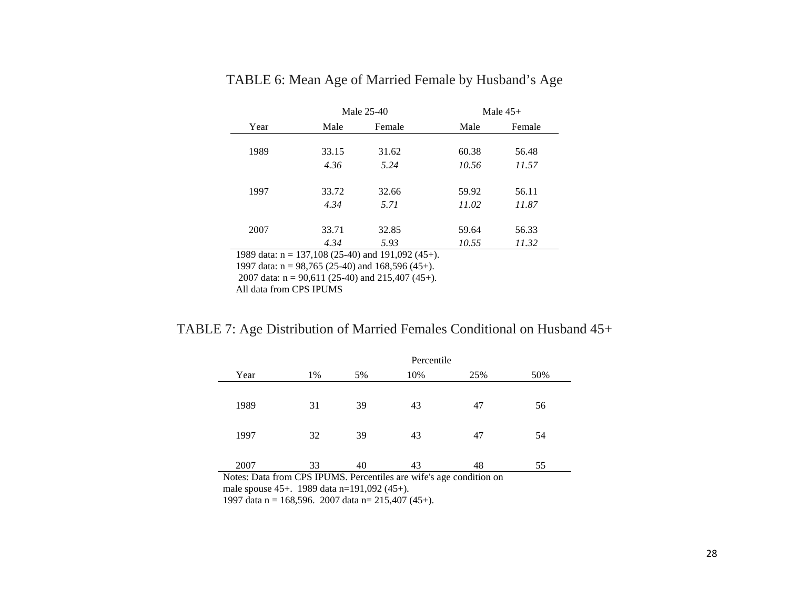|          | Male 25-40         |              | Male $45+$ |        |  |
|----------|--------------------|--------------|------------|--------|--|
| Year     | Male               | Female       | Male       | Female |  |
|          |                    |              |            |        |  |
| 1989     | 33.15              | 31.62        | 60.38      | 56.48  |  |
|          | 4.36               | 5.24         | 10.56      | 11.57  |  |
|          |                    |              |            |        |  |
| 1997     | 33.72              | 32.66        | 59.92      | 56.11  |  |
|          | 4.34               | 5.71         | 11.02      | 11.87  |  |
|          |                    |              |            |        |  |
| 2007     | 33.71              | 32.85        | 59.64      | 56.33  |  |
|          | 4.34               | 5.93         | 10.55      | 11.32  |  |
| $\cdots$ | $107.400$ $(0.71)$ | 1.1010001117 |            |        |  |

### TABLE 6: Mean Age of Married Female by Husband's Age

1989 data: n = 137,108 (25-40) and 191,092 (45+).

1997 data:  $n = 98,765$  (25-40) and 168,596 (45+).

2007 data:  $n = 90,611$  (25-40) and 215,407 (45+).

All data from CPS IPUMS

### TABLE 7: Age Distribution of Married Females Conditional on Husband 45+

|                                                                        | Percentile |    |     |     |     |  |  |  |
|------------------------------------------------------------------------|------------|----|-----|-----|-----|--|--|--|
| Year                                                                   | 1%         | 5% | 10% | 25% | 50% |  |  |  |
|                                                                        |            |    |     |     |     |  |  |  |
| 1989                                                                   | 31         | 39 | 43  | 47  | 56  |  |  |  |
|                                                                        |            |    |     |     |     |  |  |  |
| 1997                                                                   | 32         | 39 | 43  | 47  | 54  |  |  |  |
|                                                                        |            |    |     |     |     |  |  |  |
| 2007                                                                   | 33         | 40 | 43  | 48  | 55  |  |  |  |
| Materi Data fuero CDC IDIJMO, Dependidos que política en agaditivo por |            |    |     |     |     |  |  |  |

Notes: Data from CPS IPUMS. Percentiles are wife's age condition on male spouse 45+. 1989 data n=191,092 (45+). 1997 data n = 168,596. 2007 data n =  $215,407$  (45+).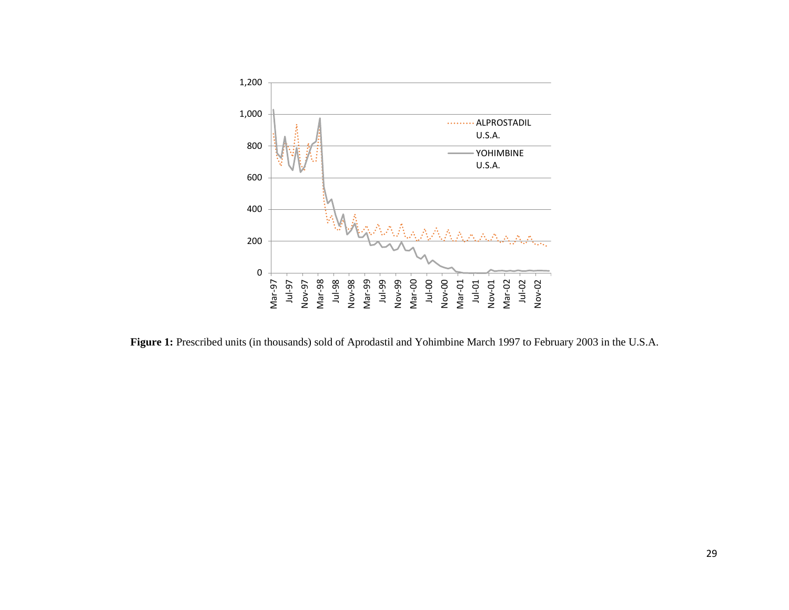

Figure 1: Prescribed units (in thousands) sold of Aprodastil and Yohimbine March 1997 to February 2003 in the U.S.A.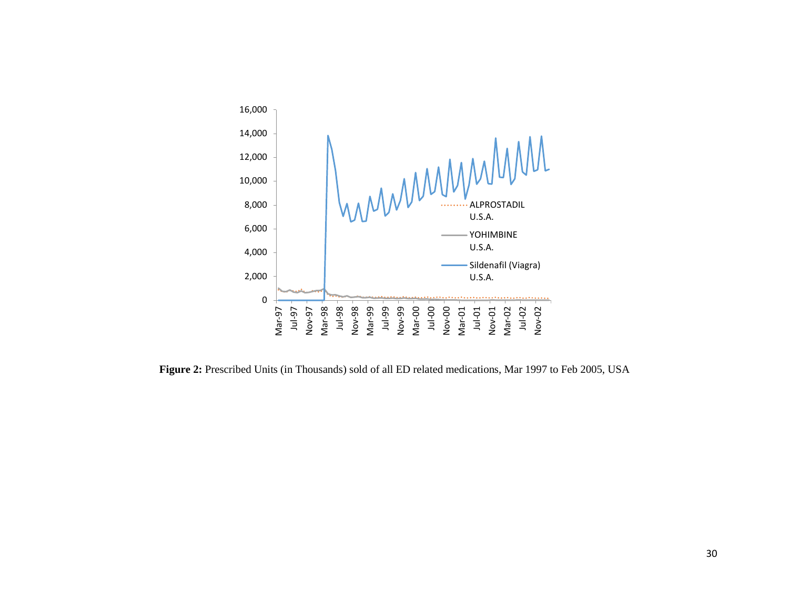

**Figure 2:** Prescribed Units (in Thousands) sold of all ED related medications, Mar 1997 to Feb 2005, USA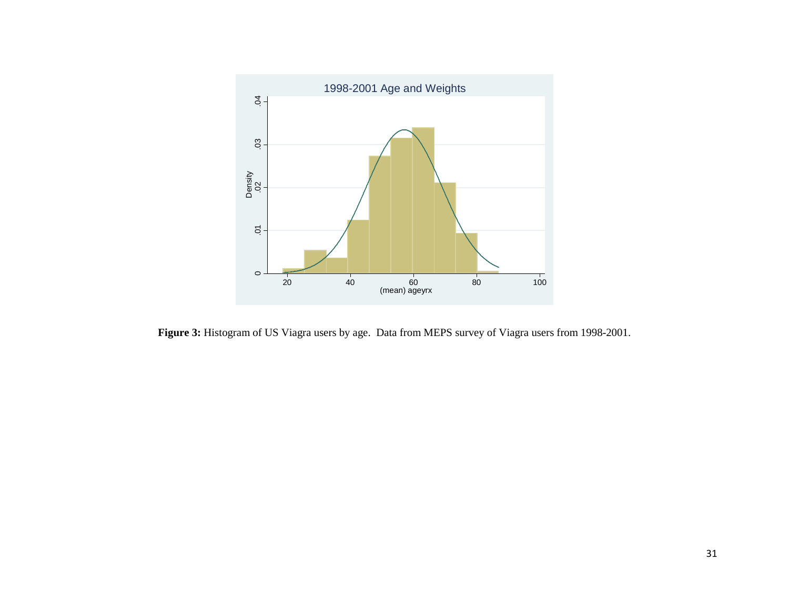

**Figure 3:** Histogram of US Viagra users by age. Data from MEPS survey of Viagra users from 1998-2001.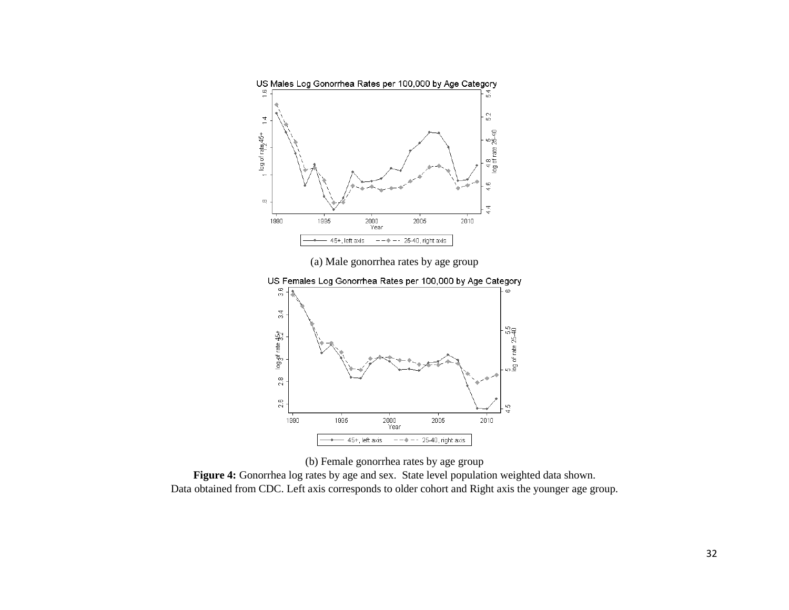



Data obtained from CDC. Left axis corresponds to older cohort and Right axis the younger age group.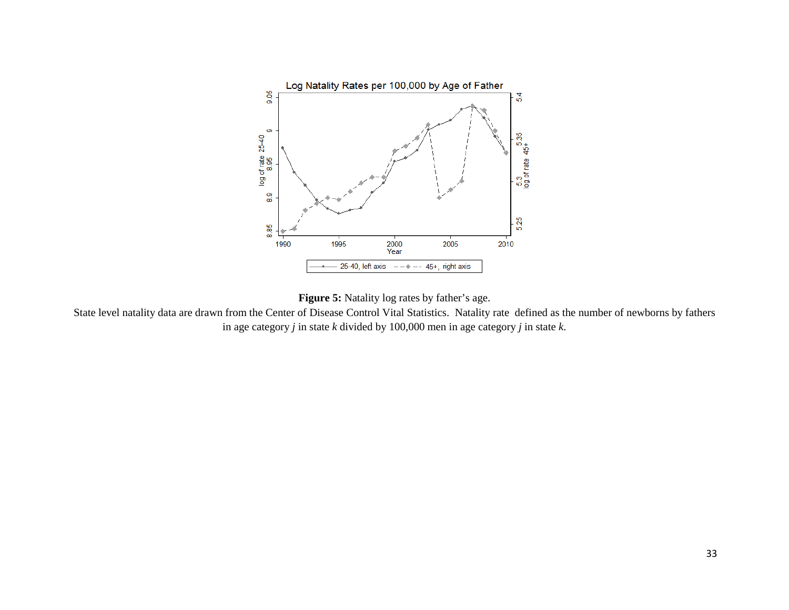



State level natality data are drawn from the Center of Disease Control Vital Statistics. Natality rate defined as the number of newborns by fathers in age category *j* in state *k* divided by 100,000 men in age category *j* in state *k*.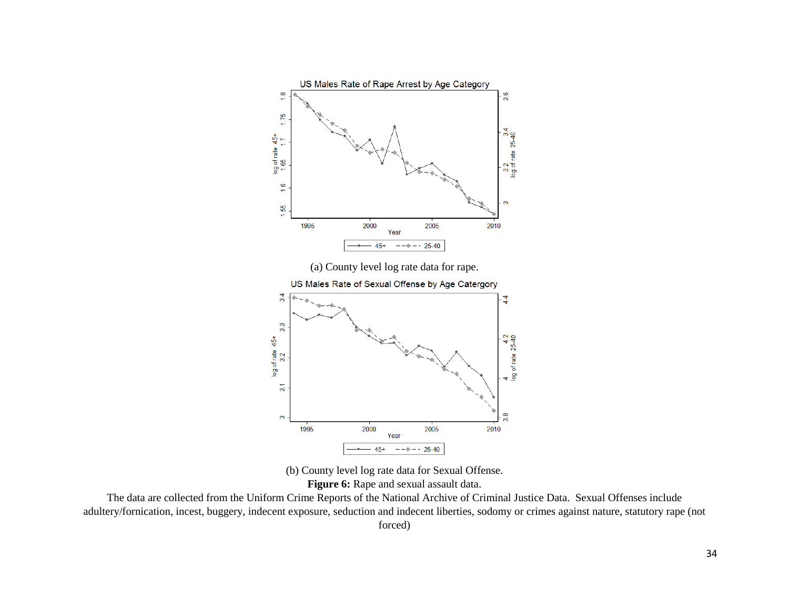

(b) County level log rate data for Sexual Offense. **Figure 6:** Rape and sexual assault data.

The data are collected from the Uniform Crime Reports of the National Archive of Criminal Justice Data. Sexual Offenses include adultery/fornication, incest, buggery, indecent exposure, seduction and indecent liberties, sodomy or crimes against nature, statutory rape (not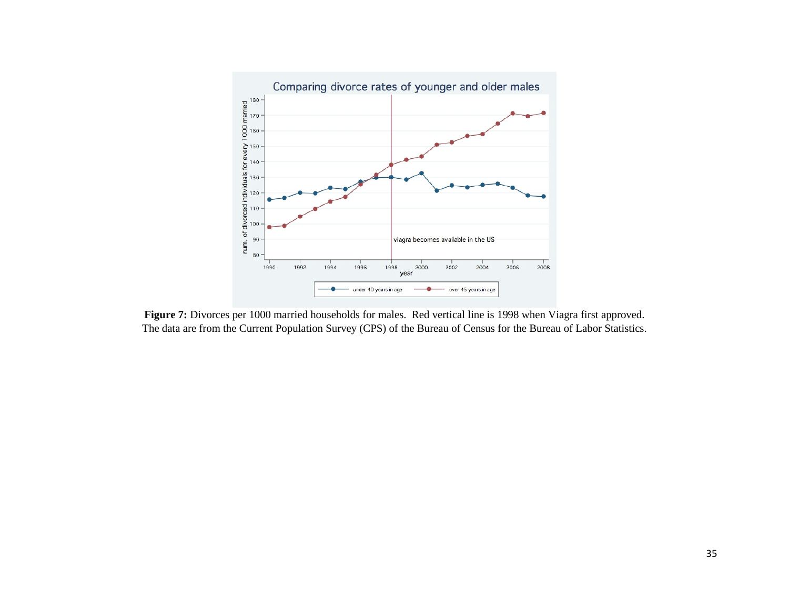

**Figure 7:** Divorces per 1000 married households for males. Red vertical line is 1998 when Viagra first approved. The data are from the Current Population Survey (CPS) of the Bureau of Census for the Bureau of Labor Statistics.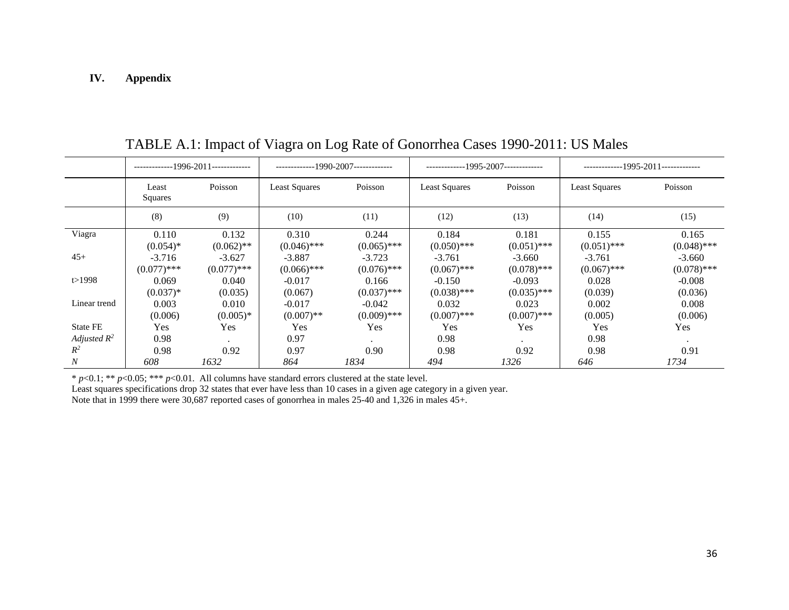#### **IV. Appendix**

|                 | -------------1996-2011------------- |               | ------------1990-2007------------- |               | --1995-2007------------- |               | -------------1995-2011------------- |               |
|-----------------|-------------------------------------|---------------|------------------------------------|---------------|--------------------------|---------------|-------------------------------------|---------------|
|                 | Least<br><b>Squares</b>             | Poisson       | <b>Least Squares</b>               | Poisson       | <b>Least Squares</b>     | Poisson       | Least Squares                       | Poisson       |
|                 | (8)                                 | (9)           | (10)                               | (11)          | (12)                     | (13)          | (14)                                | (15)          |
| Viagra          | 0.110                               | 0.132         | 0.310                              | 0.244         | 0.184                    | 0.181         | 0.155                               | 0.165         |
|                 | $(0.054)$ *                         | $(0.062)$ **  | $(0.046)$ ***                      | $(0.065)$ *** | $(0.050)$ ***            | $(0.051)$ *** | $(0.051)$ ***                       | $(0.048)$ *** |
| $45+$           | $-3.716$                            | $-3.627$      | $-3.887$                           | $-3.723$      | $-3.761$                 | $-3.660$      | $-3.761$                            | $-3.660$      |
|                 | $(0.077)$ ***                       | $(0.077)$ *** | $(0.066)$ ***                      | $(0.076)$ *** | $(0.067)$ ***            | $(0.078)$ *** | $(0.067)$ ***                       | $(0.078)$ *** |
| t > 1998        | 0.069                               | 0.040         | $-0.017$                           | 0.166         | $-0.150$                 | $-0.093$      | 0.028                               | $-0.008$      |
|                 | $(0.037)*$                          | (0.035)       | (0.067)                            | $(0.037)$ *** | $(0.038)$ ***            | $(0.035)$ *** | (0.039)                             | (0.036)       |
| Linear trend    | 0.003                               | 0.010         | $-0.017$                           | $-0.042$      | 0.032                    | 0.023         | 0.002                               | 0.008         |
|                 | (0.006)                             | $(0.005)*$    | $(0.007)$ **                       | $(0.009)$ *** | $(0.007)$ ***            | $(0.007)$ *** | (0.005)                             | (0.006)       |
| <b>State FE</b> | Yes                                 | Yes           | Yes                                | Yes           | <b>Yes</b>               | Yes           | Yes                                 | Yes           |
| Adjusted $R^2$  | 0.98                                |               | 0.97                               |               | 0.98                     |               | 0.98                                |               |
| $R^2$           | 0.98                                | 0.92          | 0.97                               | 0.90          | 0.98                     | 0.92          | 0.98                                | 0.91          |
| N               | 608                                 | 1632          | 864                                | 1834          | 494                      | 1326          | 646                                 | 1734          |

TABLE A.1: Impact of Viagra on Log Rate of Gonorrhea Cases 1990-2011: US Males

\* *p*<0.1; \*\* *p*<0.05; \*\*\* *p*<0.01. All columns have standard errors clustered at the state level.

Least squares specifications drop 32 states that ever have less than 10 cases in a given age category in a given year.

Note that in 1999 there were 30,687 reported cases of gonorrhea in males 25-40 and 1,326 in males 45+.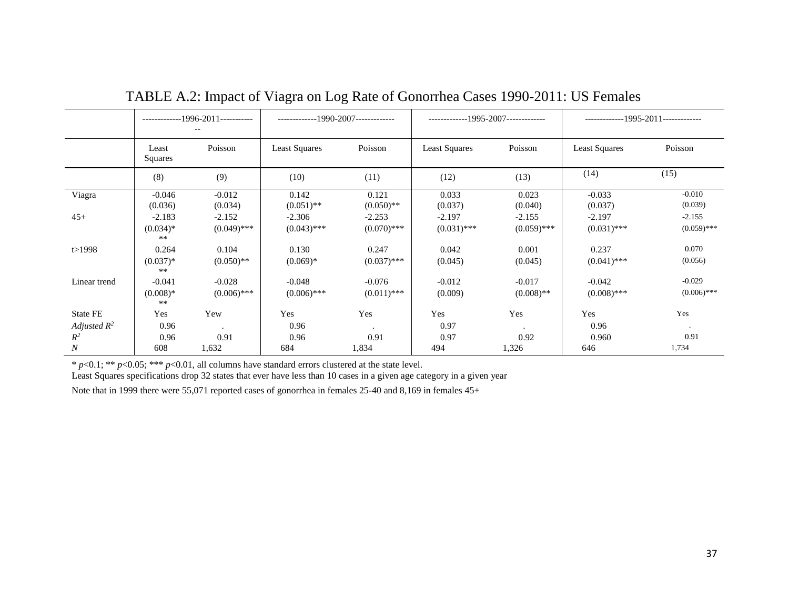|                  | -------------1996-2011----------- |                           | ------------1990-2007------------- |                           | -------------1995-2007------------- |                           | $------1995-2011---$      |                           |
|------------------|-----------------------------------|---------------------------|------------------------------------|---------------------------|-------------------------------------|---------------------------|---------------------------|---------------------------|
|                  | Least<br>Squares                  | Poisson                   | <b>Least Squares</b>               | Poisson                   | <b>Least Squares</b>                | Poisson                   | <b>Least Squares</b>      | Poisson                   |
|                  | (8)                               | (9)                       | (10)                               | (11)                      | (12)                                | (13)                      | (14)                      | (15)                      |
| Viagra           | $-0.046$<br>(0.036)               | $-0.012$<br>(0.034)       | 0.142<br>$(0.051)$ **              | 0.121<br>$(0.050)$ **     | 0.033<br>(0.037)                    | 0.023<br>(0.040)          | $-0.033$<br>(0.037)       | $-0.010$<br>(0.039)       |
| $45+$            | $-2.183$<br>$(0.034)*$<br>$***$   | $-2.152$<br>$(0.049)$ *** | $-2.306$<br>$(0.043)$ ***          | $-2.253$<br>$(0.070)$ *** | $-2.197$<br>$(0.031)$ ***           | $-2.155$<br>$(0.059)$ *** | $-2.197$<br>$(0.031)$ *** | $-2.155$<br>$(0.059)$ *** |
| t > 1998         | 0.264<br>$(0.037)*$<br>$***$      | 0.104<br>$(0.050)$ **     | 0.130<br>$(0.069)*$                | 0.247<br>$(0.037)$ ***    | 0.042<br>(0.045)                    | 0.001<br>(0.045)          | 0.237<br>$(0.041)$ ***    | 0.070<br>(0.056)          |
| Linear trend     | $-0.041$<br>$(0.008)*$<br>$**$    | $-0.028$<br>$(0.006)$ *** | $-0.048$<br>$(0.006)$ ***          | $-0.076$<br>$(0.011)$ *** | $-0.012$<br>(0.009)                 | $-0.017$<br>$(0.008)$ **  | $-0.042$<br>$(0.008)$ *** | $-0.029$<br>$(0.006)$ *** |
| State FE         | Yes                               | Yew                       | Yes                                | Yes                       | Yes                                 | Yes                       | Yes                       | Yes                       |
| Adjusted $R^2$   | 0.96                              | $\ddot{\phantom{0}}$      | 0.96                               | $\bullet$                 | 0.97                                | $\bullet$                 | 0.96                      | $\cdot$                   |
| $R^2$            | 0.96                              | 0.91                      | 0.96                               | 0.91                      | 0.97                                | 0.92                      | 0.960                     | 0.91                      |
| $\boldsymbol{N}$ | 608                               | 1,632                     | 684                                | 1,834                     | 494                                 | 1,326                     | 646                       | 1,734                     |

# TABLE A.2: Impact of Viagra on Log Rate of Gonorrhea Cases 1990-2011: US Females

\* *p*<0.1; \*\* *p*<0.05; \*\*\* *p*<0.01, all columns have standard errors clustered at the state level.

Least Squares specifications drop 32 states that ever have less than 10 cases in a given age category in a given year

Note that in 1999 there were 55,071 reported cases of gonorrhea in females 25-40 and 8,169 in females 45+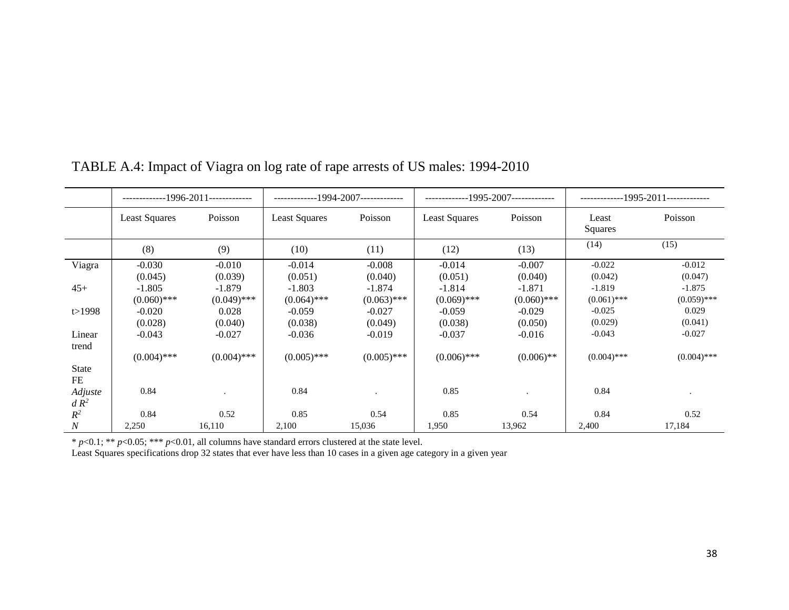|                 | ------------1996-2011------------- |               | -------------1994-2007------------- |               | -------------1995-2007------------- |               | -------------1995-2011------------- |               |
|-----------------|------------------------------------|---------------|-------------------------------------|---------------|-------------------------------------|---------------|-------------------------------------|---------------|
|                 | <b>Least Squares</b>               | Poisson       | Least Squares                       | Poisson       | <b>Least Squares</b>                | Poisson       | Least<br>Squares                    | Poisson       |
|                 | (8)                                | (9)           | (10)                                | (11)          | (12)                                | (13)          | (14)                                | (15)          |
| Viagra          | $-0.030$                           | $-0.010$      | $-0.014$                            | $-0.008$      | $-0.014$                            | $-0.007$      | $-0.022$                            | $-0.012$      |
|                 | (0.045)                            | (0.039)       | (0.051)                             | (0.040)       | (0.051)                             | (0.040)       | (0.042)                             | (0.047)       |
| $45+$           | $-1.805$                           | $-1.879$      | $-1.803$                            | $-1.874$      | $-1.814$                            | $-1.871$      | $-1.819$                            | $-1.875$      |
|                 | $(0.060)$ ***                      | $(0.049)$ *** | $(0.064)$ ***                       | $(0.063)$ *** | $(0.069)$ ***                       | $(0.060)$ *** | $(0.061)$ ***                       | $(0.059)$ *** |
| t > 1998        | $-0.020$                           | 0.028         | $-0.059$                            | $-0.027$      | $-0.059$                            | $-0.029$      | $-0.025$                            | 0.029         |
|                 | (0.028)                            | (0.040)       | (0.038)                             | (0.049)       | (0.038)                             | (0.050)       | (0.029)                             | (0.041)       |
| Linear<br>trend | $-0.043$                           | $-0.027$      | $-0.036$                            | $-0.019$      | $-0.037$                            | $-0.016$      | $-0.043$                            | $-0.027$      |
|                 | $(0.004)$ ***                      | $(0.004)$ *** | $(0.005)$ ***                       | $(0.005)$ *** | $(0.006)$ ***                       | $(0.006)$ **  | $(0.004)$ ***                       | $(0.004)$ *** |
| <b>State</b>    |                                    |               |                                     |               |                                     |               |                                     |               |
| FE              |                                    |               |                                     |               |                                     |               |                                     |               |
| Adjuste         | 0.84                               |               | 0.84                                |               | 0.85                                |               | 0.84                                |               |
| $dR^2$          |                                    |               |                                     |               |                                     |               |                                     |               |
| $R^2$           | 0.84                               | 0.52          | 0.85                                | 0.54          | 0.85                                | 0.54          | 0.84                                | 0.52          |
| N               | 2,250                              | 16,110        | 2,100                               | 15,036        | 1,950                               | 13,962        | 2,400                               | 17,184        |

# TABLE A.4: Impact of Viagra on log rate of rape arrests of US males: 1994-2010

\* *p*<0.1; \*\* *p*<0.05; \*\*\* *p*<0.01, all columns have standard errors clustered at the state level.

Least Squares specifications drop 32 states that ever have less than 10 cases in a given age category in a given year